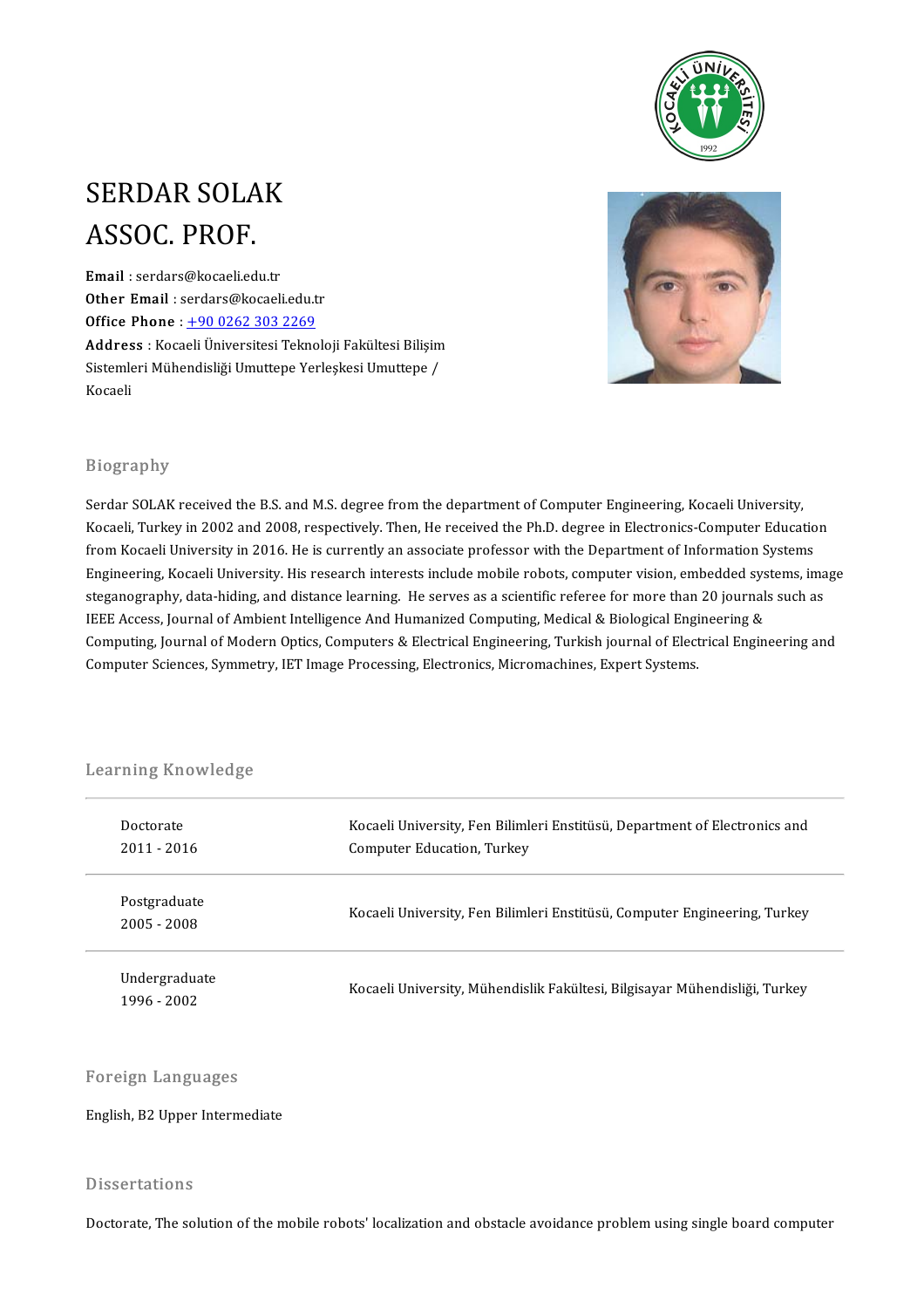

# SERDAR SOLAK SERDAR SOLA<br>ASSOC. PROF.<br>Email : serdars@kocaelied: ASSOC. PROF.<br>Email : serdars@kocaeli.edu.tr<br>Other Email : serdars@kesaeli

Email : serdars@kocaeli.edu.tr<br>Other Email : serdars@kocaeli.edu.tr<br>Office Phone : 1.90,0262,202,2260 Email : serdars@kocaeli.edu.tr<br>Other Email : serdars@kocaeli.edu.tr<br>Office Phone : <u>+90 0262 303 2269</u><br>Address : Kospeli Üniversitesi Telmo Office Phone :  $\pm 9002623032269$ <br>Address : Kocaeli Üniversitesi Teknoloji Fakültesi Bilişim Office Phone : <u>+90 0262 303 2269</u><br>Address : Kocaeli Üniversitesi Teknoloji Fakültesi Bilişim<br>Sistemleri Mühendisliği Umuttepe Yerleşkesi Umuttepe / **Addres**<br>Sistemle<br>Kocaeli



#### Biography

Serdar SOLAK received the B.S. and M.S. degree from the department of Computer Engineering, Kocaeli University, Kocaeli, Turkey in 2002 and 2008, respectively. Then, He received the Ph.D. degree in Electronics-Computer Education Serdar SOLAK received the B.S. and M.S. degree from the department of Computer Engineering, Kocaeli University,<br>Kocaeli, Turkey in 2002 and 2008, respectively. Then, He received the Ph.D. degree in Electronics-Computer Edu Kocaeli, Turkey in 2002 and 2008, respectively. Then, He received the Ph.D. degree in Electronics-Computer Education<br>from Kocaeli University in 2016. He is currently an associate professor with the Department of Informatio from Kocaeli University in 2016. He is currently an associate professor with the Department of Information Systems<br>Engineering, Kocaeli University. His research interests include mobile robots, computer vision, embedded sy Engineering, Kocaeli University. His research interests include mobile robots, computer vision, embedded systems, image<br>steganography, data-hiding, and distance learning. He serves as a scientific referee for more than 20 steganography, data-hiding, and distance learning. He serves as a scientific referee for more than 20 journals such as<br>IEEE Access, Journal of Ambient Intelligence And Humanized Computing, Medical & Biological Engineering IEEE Access, Journal of Ambient Intelligence And Humanized Computing, Medical & Biological Engi<br>Computing, Journal of Modern Optics, Computers & Electrical Engineering, Turkish journal of Elect<br>Computer Sciences, Symmetry,

# Learning Knowledge<br>Learning Knowledge

| Doctorate<br>2011 - 2016     | Kocaeli University, Fen Bilimleri Enstitüsü, Department of Electronics and<br><b>Computer Education, Turkey</b> |  |
|------------------------------|-----------------------------------------------------------------------------------------------------------------|--|
| Postgraduate<br>2005 - 2008  | Kocaeli University, Fen Bilimleri Enstitüsü, Computer Engineering, Turkey                                       |  |
| Undergraduate<br>1996 - 2002 | Kocaeli University, Mühendislik Fakültesi, Bilgisayar Mühendisliği, Turkey                                      |  |

#### Foreign Languages

English, B2 Upper Intermediate

#### **Dissertations**

Doctorate, The solution of the mobile robots' localization and obstacle avoidance problem using single board computer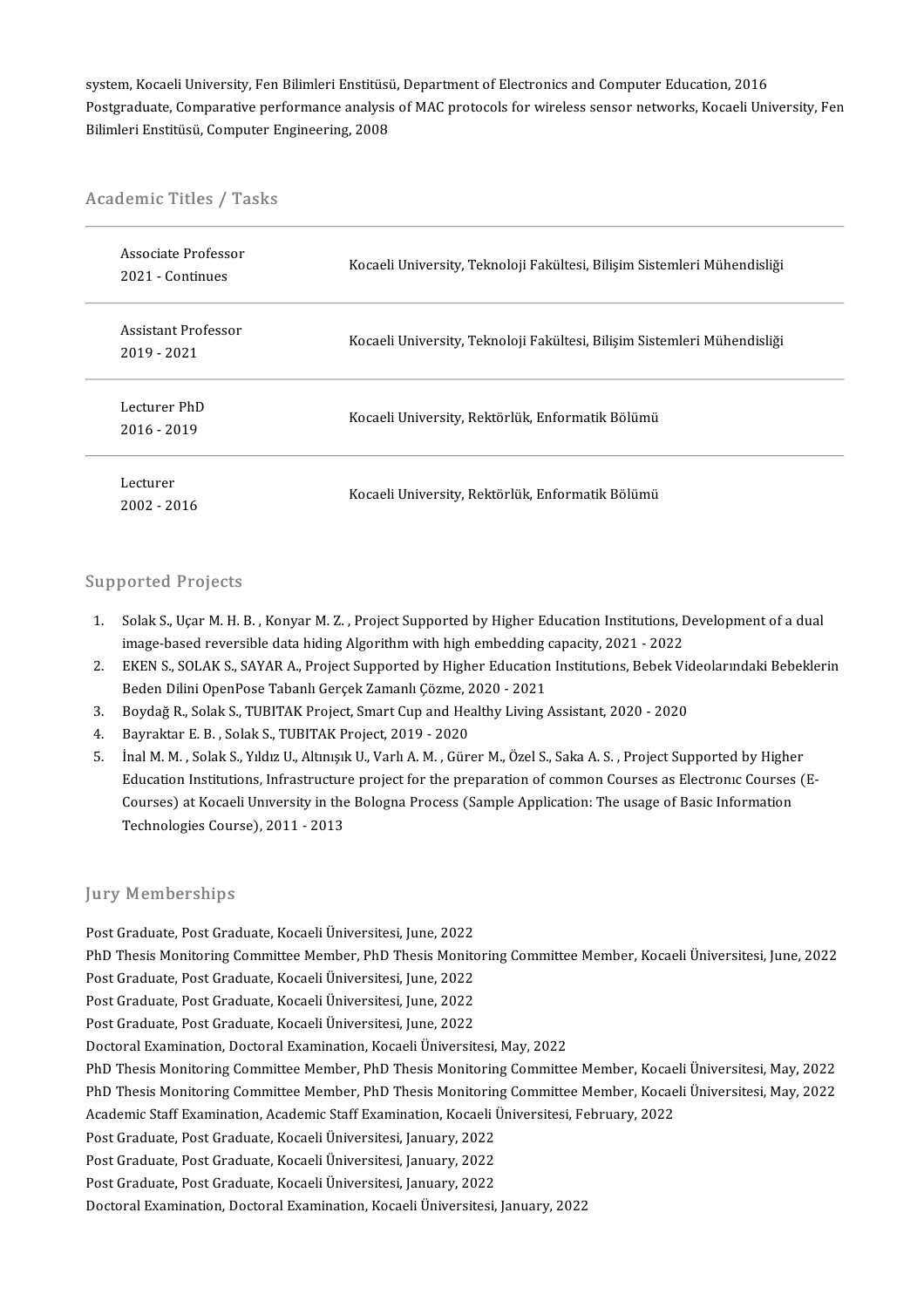system, Kocaeli University, Fen Bilimleri Enstitüsü, Department of Electronics and Computer Education, 2016<br>Pestareduste Comporative performange analysis of MAC protesels for urinelese senser petuselis. Kosoeli Uni Postgraduate, Comparative performance analysis of MAC protocols for wireless sensor networks, Kocaeli University, Fen<br>Bilimleri Enstitüsü, Computer Engineering, 2008 system, Kocaeli University, Fen Bilimleri Enstitüsü<br>Postgraduate, Comparative performance analysis<br>Bilimleri Enstitüsü, Computer Engineering, 2008

# вштегі Ensutusu, Computer E<br>Academic Titles / Tasks

| Academic Titles / Tasks               |                                                                          |  |
|---------------------------------------|--------------------------------------------------------------------------|--|
| Associate Professor<br>2021 Continues | Kocaeli University, Teknoloji Fakültesi, Bilişim Sistemleri Mühendisliği |  |
| Assistant Professor<br>2019 - 2021    | Kocaeli University, Teknoloji Fakültesi, Bilişim Sistemleri Mühendisliği |  |
| Lecturer PhD<br>$2016 - 2019$         | Kocaeli University, Rektörlük, Enformatik Bölümü                         |  |
| Lecturer<br>2002 - 2016               | Kocaeli University, Rektörlük, Enformatik Bölümü                         |  |

#### Supported Projects

- upported Projects<br>1. Solak S., Uçar M. H. B. , Konyar M. Z. , Project Supported by Higher Education Institutions, Development of a dual<br>image based reversible data biding Alsosithm with bish embedding canasity 2021, 2022 inage-basedreversible data hiding Algorithm with higher and Higher Education Institutions, I<br>image-based reversible data hiding Algorithm with high embedding capacity, 2021 - 2022<br>EKEN S. SOLAK S. SAVAR A. Project Supporte 2. Solak S., Uçar M. H. B., Konyar M. Z., Project Supported by Higher Education Institutions, Development of a dual<br>2. EKEN S., SOLAK S., SAYAR A., Project Supported by Higher Education Institutions, Bebek Videolarındaki B
- image-based reversible data hiding Algorithm with high embedding of EKEN S., SOLAK S., SAYAR A., Project Supported by Higher Education<br>Beden Dilini OpenPose Tabanlı Gerçek Zamanlı Çözme, 2020 2021<br>Boydağ B. Solak S. TUBI 2. EKEN S., SOLAK S., SAYAR A., Project Supported by Higher Education Institutions, Bebek Vice<br>Beden Dilini OpenPose Tabanlı Gerçek Zamanlı Çözme, 2020 - 2021<br>3. Boydağ R., Solak S., TUBITAK Project, Smart Cup and Healthy
- Beden Dilini OpenPose Tabanlı Gerçek Zamanlı Çözme, 2020 2021<br>3. Boydağ R., Solak S., TUBITAK Project, Smart Cup and Healthy Living Assistant, 2020 2020<br>4. Bayraktar E. B. , Solak S., TUBITAK Project, 2019 2020<br>5. İn
- 
- 5. Boydağ R., Solak S., TUBITAK Project, Smart Cup and Healthy Living Assistant, 2020 2020<br>1. Bayraktar E. B. , Solak S., TUBITAK Project, 2019 2020<br>5. Inal M. M. , Solak S., Yıldız U., Altınışık U., Varlı A. M. , Güre Bayraktar E. B. , Solak S., TUBITAK Project, 2019 - 2020<br>Inal M. M. , Solak S., Yıldız U., Altınışık U., Varlı A. M. , Gürer M., Özel S., Saka A. S. , Project Supported by Higher<br>Education Institutions, Infrastructure proj Inal M. M. , Solak S., Yıldız U., Altınışık U., Varlı A. M. , Gürer M., Özel S., Saka A. S. , Project Supported by Highe<br>Education Institutions, Infrastructure project for the preparation of common Courses as Electronic Co Education Institutions, Infrastructure project for the preparation of common Courses as Electronic Courses (E-<br>Courses) at Kocaeli University in the Bologna Process (Sample Application: The usage of Basic Information<br>Techn

#### **Jury Memberships**

Post Graduate, Post Graduate, Kocaeli Üniversitesi, June, 2022 PhD Thesis Monitoring Committee Member, PhD Thesis Monitoring Committee Member, Kocaeli Üniversitesi, June, 2022 Post Graduate, Post Graduate, Kocaeli Üniversitesi, June, 2022<br>PhD Thesis Monitoring Committee Member, PhD Thesis Monito<br>Post Graduate, Post Graduate, Kocaeli Üniversitesi, June, 2022<br>Post Craduate, Post Craduate, Kocaeli PhD Thesis Monitoring Committee Member, PhD Thesis Monito<br>Post Graduate, Post Graduate, Kocaeli Üniversitesi, June, 2022<br>Post Graduate, Post Graduate, Kocaeli Üniversitesi, June, 2022<br>Post Craduate, Post Craduate, Kocaeli Post Graduate, Post Graduate, Kocaeli Üniversitesi, June, 2022<br>Post Graduate, Post Graduate, Kocaeli Üniversitesi, June, 2022<br>Post Graduate, Post Graduate, Kocaeli Üniversitesi, June, 2022<br>Postoral Evamination, Dostoral Ev Post Graduate, Post Graduate, Kocaeli Üniversitesi, June, 2022<br>Post Graduate, Post Graduate, Kocaeli Üniversitesi, June, 2022<br>Doctoral Examination, Doctoral Examination, Kocaeli Üniversitesi, May, 2022 Post Graduate, Post Graduate, Kocaeli Üniversitesi, June, 2022<br>Doctoral Examination, Doctoral Examination, Kocaeli Üniversitesi, May, 2022<br>PhD Thesis Monitoring Committee Member, PhD Thesis Monitoring Committee Member, Koc Doctoral Examination, Doctoral Examination, Kocaeli Üniversitesi, May, 2022<br>PhD Thesis Monitoring Committee Member, PhD Thesis Monitoring Committee Member, Kocaeli Üniversitesi, May, 2022<br>PhD Thesis Monitoring Committee Me PhD Thesis Monitoring Committee Member, PhD Thesis Monitoring Committee Member, Kocae<br>PhD Thesis Monitoring Committee Member, PhD Thesis Monitoring Committee Member, Kocae<br>Academic Staff Examination, Academic Staff Examina PhD Thesis Monitoring Committee Member, PhD Thesis Monitoring Committee Member, Kocaeli Üniversitesi, May, 2022<br>Academic Staff Examination, Academic Staff Examination, Kocaeli Üniversitesi, February, 2022<br>Post Graduate, Po Academic Staff Examination, Academic Staff Examination, Kocaeli I<br>Post Graduate, Post Graduate, Kocaeli Üniversitesi, January, 2022<br>Post Graduate, Post Graduate, Kocaeli Üniversitesi, January, 2022<br>Post Craduate, Post Crad Post Graduate, Post Graduate, Kocaeli Üniversitesi, January, 2022<br>Post Graduate, Post Graduate, Kocaeli Üniversitesi, January, 2022<br>Post Graduate, Post Graduate, Kocaeli Üniversitesi, January, 2022<br>Postarel Evamination, Da Post Graduate, Post Graduate, Kocaeli Üniversitesi, January, 2022<br>Doctoral Examination, Doctoral Examination, Kocaeli Üniversitesi, January, 2022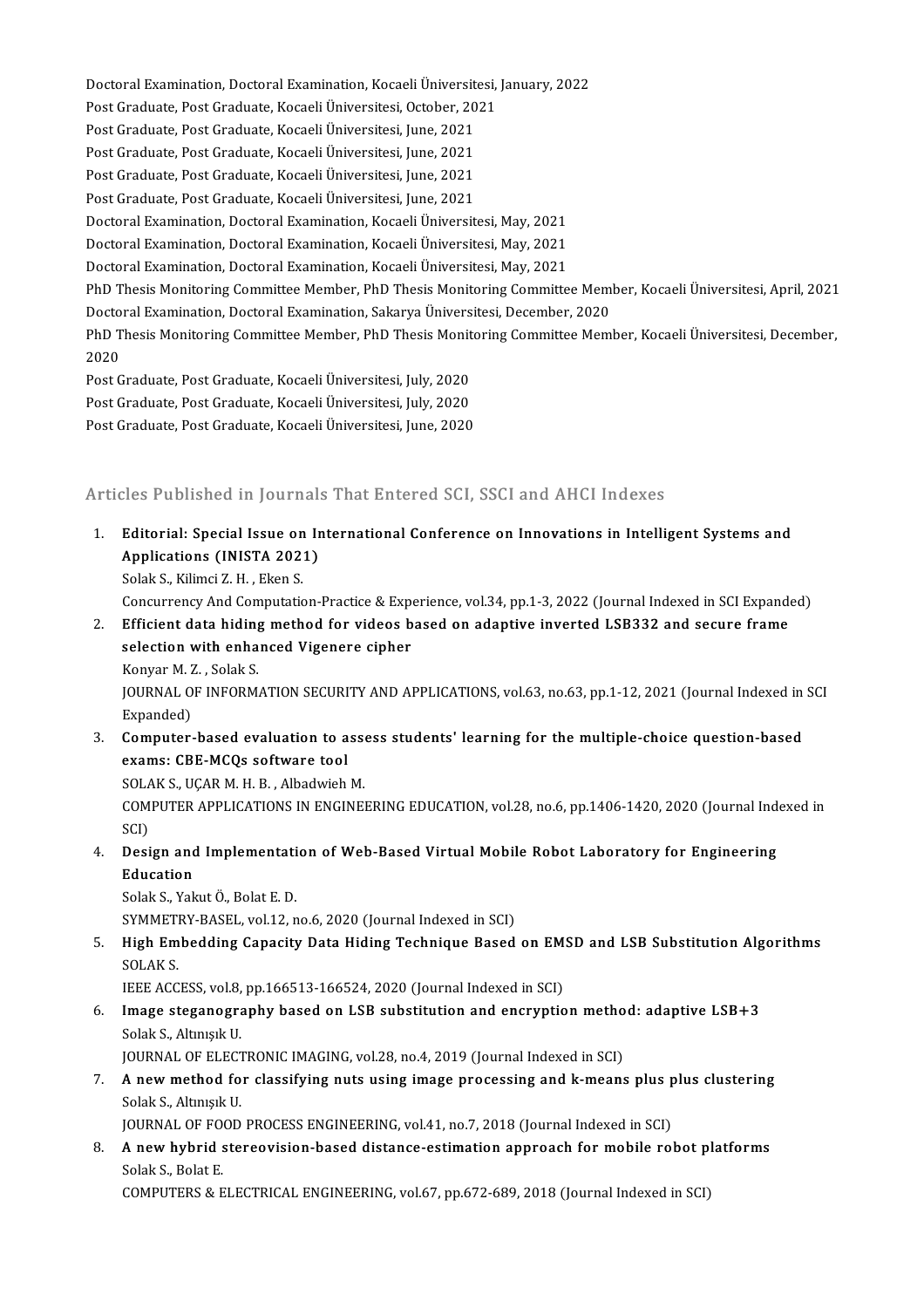Doctoral Examination, Doctoral Examination, Kocaeli Üniversitesi, January, 2022<br>Pest Craduate, Best Craduate, Kosaeli Üniversitesi, Osteber, 2021 Doctoral Examination, Doctoral Examination, Kocaeli Üniversitesi,<br>Post Graduate, Post Graduate, Kocaeli Üniversitesi, October, 2021<br>Post Craduate, Post Craduate, Kosaeli Üniversitesi, June, 2021 Doctoral Examination, Doctoral Examination, Kocaeli Üniversite<br>Post Graduate, Post Graduate, Kocaeli Üniversitesi, October, 20<br>Post Graduate, Post Graduate, Kocaeli Üniversitesi, June, 2021<br>Post Craduate, Post Craduate, Ko Post Graduate, Post Graduate, Kocaeli Üniversitesi, October, 20<br>Post Graduate, Post Graduate, Kocaeli Üniversitesi, June, 2021<br>Post Graduate, Post Graduate, Kocaeli Üniversitesi, June, 2021<br>Post Craduate, Post Craduate, Ko Post Graduate, Post Graduate, Kocaeli Üniversitesi, June, 2021<br>Post Graduate, Post Graduate, Kocaeli Üniversitesi, June, 2021<br>Post Graduate, Post Graduate, Kocaeli Üniversitesi, June, 2021<br>Post Craduate, Post Craduate, Koc Post Graduate, Post Graduate, Kocaeli Üniversitesi, June, 2021<br>Post Graduate, Post Graduate, Kocaeli Üniversitesi, June, 2021<br>Post Graduate, Post Graduate, Kocaeli Üniversitesi, June, 2021<br>Postoral Examination, Dostoral Ex Post Graduate, Post Graduate, Kocaeli Üniversitesi, June, 2021<br>Post Graduate, Post Graduate, Kocaeli Üniversitesi, June, 2021<br>Doctoral Examination, Doctoral Examination, Kocaeli Üniversitesi, May, 2021<br>Doctoral Examination Post Graduate, Post Graduate, Kocaeli Üniversitesi, June, 2021<br>Doctoral Examination, Doctoral Examination, Kocaeli Üniversitesi, May, 2021<br>Doctoral Examination, Doctoral Examination, Kocaeli Üniversitesi, May, 2021<br>Doctora Doctoral Examination, Doctoral Examination, Kocaeli Üniversitesi, May, 2021<br>Doctoral Examination, Doctoral Examination, Kocaeli Üniversitesi, May, 2021<br>Doctoral Examination, Doctoral Examination, Kocaeli Üniversitesi, May, Doctoral Examination, Doctoral Examination, Kocaeli Üniversitesi, May, 2021<br>Doctoral Examination, Doctoral Examination, Kocaeli Üniversitesi, May, 2021<br>PhD Thesis Monitoring Committee Member, PhD Thesis Monitoring Committe Doctoral Examination, Doctoral Examination, Kocaeli Üniversitesi, May, 2021<br>PhD Thesis Monitoring Committee Member, PhD Thesis Monitoring Committee Meml<br>Doctoral Examination, Doctoral Examination, Sakarya Üniversitesi, Dec PhD Thesis Monitoring Committee Member, PhD Thesis Monitoring Committee Member, Kocaeli Üniversitesi, April, 2021<br>Doctoral Examination, Doctoral Examination, Sakarya Üniversitesi, December, 2020<br>PhD Thesis Monitoring Commi Doctoral Examination, Doctoral Examination, Sakarya Üniversitesi, December, 2020<br>PhD Thesis Monitoring Committee Member, PhD Thesis Monitoring Committee Member, Kocaeli Üniversitesi, December,<br>2020 PhD Thesis Monitoring Committee Member, PhD Thesis Monit<br>2020<br>Post Graduate, Post Graduate, Kocaeli Üniversitesi, July, 2020<br>Post Craduate, Post Graduate, Kocaeli Üniversitesi, July, 2020 2020<br>Post Graduate, Post Graduate, Kocaeli Üniversitesi, July, 2020<br>Post Graduate, Post Graduate, Kocaeli Üniversitesi, July, 2020<br>Post Graduate, Post Graduate, Kocaeli Üniversitesi, June, 2020 Post Graduate, Post Graduate, Kocaeli Üniversitesi, July, 2020<br>Post Graduate, Post Graduate, Kocaeli Üniversitesi, July, 2020<br>Post Graduate, Post Graduate, Kocaeli Üniversitesi, June, 2020

# Post Graduate, Post Graduate, Kocaeli Üniversitesi, June, 2020<br>Articles Published in Journals That Entered SCI, SSCI and AHCI Indexes

Similar States Published in Journals That Entered SCI, SSCI and AHCI Indexes<br>1. Editorial: Special Issue on International Conference on Innovations in Intelligent Systems and<br>Applications (INISTA 2021) Applications (INISTA 2021)<br>Applications (INISTA 2021)<br>Solak S. Kilimci 7, H., Elson S. Editorial: Special Issue on<br>Applications (INISTA 202)<br>Solak S., Kilimci Z. H. , Eken S.<br>Consurrensy And Computatio Applications (INISTA 2021)<br>Solak S., Kilimci Z. H. , Eken S.<br>Concurrency And Computation-Practice & Experience, vol.34, pp.1-3, 2022 (Journal Indexed in SCI Expanded)<br>Efficient data hiding method for videos based on adanti

2. Solak S., Kilimci Z. H. , Eken S.<br>2. Concurrency And Computation-Practice & Experience, vol.34, pp.1-3, 2022 (Journal Indexed in SCI Expandence<br>2. Efficient data hiding method for videos based on adaptive inverted LSB33 Concurrency And Computation-Practice & Experient data hiding method for videos b<br>selection with enhanced Vigenere cipher<br>Konvar M.Z., Solak S Efficient data hiding<br>selection with enha<br>Konyar M. Z. , Solak S.<br>JOUPNAL OF INFORM selection with enhanced Vigenere cipher<br>Konyar M. Z., Solak S.<br>JOURNAL OF INFORMATION SECURITY AND APPLICATIONS, vol.63, no.63, pp.1-12, 2021 (Journal Indexed in SCI<br>Expanded) Konyar M. 2<br>JOURNAL O<br>Expanded)<br>Computer

3. JOURNAL OF INFORMATION SECURITY AND APPLICATIONS, vol.63, no.63, pp.1-12, 2021 (Journal Indexed in Expanded)<br>3. Computer-based evaluation to assess students' learning for the multiple-choice question-based<br>3. Computer-b Expanded)<br>Computer-based evaluation to a<br>exams: CBE-MCQs software tool<br>SOLAK S. UCAR M. H. B., Albedwieb Computer-based evaluation to asse<br>exams: CBE-MCQs software tool<br>SOLAK S., UÇAR M. H. B. , Albadwieh M.<br>COMPUTER APRLICATIONS IN ENCINE

exams: CBE-MCQs software tool<br>SOLAK S., UÇAR M. H. B. , Albadwieh M.<br>COMPUTER APPLICATIONS IN ENGINEERING EDUCATION, vol.28, no.6, pp.1406-1420, 2020 (Journal Indexed in<br>SCD SOLA<br>COM<br>SCI)<br>Dosi 6. COMPUTER APPLICATIONS IN ENGINEERING EDUCATION, vol.28, no.6, pp.1406-1420, 2020 (Journal Index SCI)<br>4. Design and Implementation of Web-Based Virtual Mobile Robot Laboratory for Engineering<br>Felixation

SCI)<br>Design and<br>Education<br>Solak S. Vak **Design and Implementati<br>Education<br>Solak S., Yakut Ö., Bolat E. D.<br>SYMMETPY PASEL, vol 12. n** 

Education<br>Solak S., Yakut Ö., Bolat E. D.<br>SYMMETRY-BASEL, vol.12, no.6, 2020 (Journal Indexed in SCI)

Solak S., Yakut Ö., Bolat E. D.<br>SYMMETRY-BASEL, vol.12, no.6, 2020 (Journal Indexed in SCI)<br>5. High Embedding Capacity Data Hiding Technique Based on EMSD and LSB Substitution Algorithms<br>SOLAK S SYMMETI<br>High Em<br>SOLAK S.<br>JEEE ACC High Embedding Capacity Data Hiding Technique Based on EM:<br>SOLAK S.<br>IEEE ACCESS, vol.8, pp.166513-166524, 2020 (Journal Indexed in SCI)<br>Image stegenegraphy based on J SB substitution and oneruntie

- SOLAK S.<br>IEEE ACCESS, vol.8, pp.166513-166524, 2020 (Journal Indexed in SCI)<br>6. Image steganography based on LSB substitution and encryption method: adaptive LSB+3<br>Solak S. Altmerk H IEEE ACCESS, vol.8,<br><mark>Image steganogr</mark>a<br>Solak S., Altınışık U.<br>JOUPNAL OF ELECT Image steganography based on LSB substitution and encryption metho<br>Solak S., Altınışık U.<br>JOURNAL OF ELECTRONIC IMAGING, vol.28, no.4, 2019 (Journal Indexed in SCI)<br>A new method for classifying nuts using image processing
- Solak S., Altınışık U.<br>JOURNAL OF ELECTRONIC IMAGING, vol.28, no.4, 2019 (Journal Indexed in SCI)<br>7. A new method for classifying nuts using image processing and k-means plus plus clustering<br>Solak S. Altınıalı U. JOURNAL OF ELECTRONIC IMAGING, vol.28, no.4, 2019 (Journal Indexed in SCI)<br>A new method for classifying nuts using image processing and k-mean:<br>Solak S., Altınışık U. A new method for classifying nuts using image processing and k-means plus p<br>Solak S., Altınışık U.<br>JOURNAL OF FOOD PROCESS ENGINEERING, vol.41, no.7, 2018 (Journal Indexed in SCI)<br>A new hybrid stereovision based distance e

8. Solak S., Altınışık U.<br>19. JOURNAL OF FOOD PROCESS ENGINEERING, vol.41, no.7, 2018 (Journal Indexed in SCI)<br>8. A new hybrid stereovision-based distance-estimation approach for mobile robot platforms<br>8. Solak S. Bo JOURNAL OF FOOD PROCESS ENGINEERING, vol.41, no.7, 2018 (Journal Indexed in SCI)<br>A new hybrid stereovision-based distance-estimation approach for mobile robot pl<br>Solak S., Bolat E.<br>COMPUTERS & ELECTRICAL ENGINEERING, vol.6 A new hybrid stereovision-based distance-estimation approach for mobile robot pl<br>Solak S., Bolat E.<br>COMPUTERS & ELECTRICAL ENGINEERING, vol.67, pp.672-689, 2018 (Journal Indexed in SCI)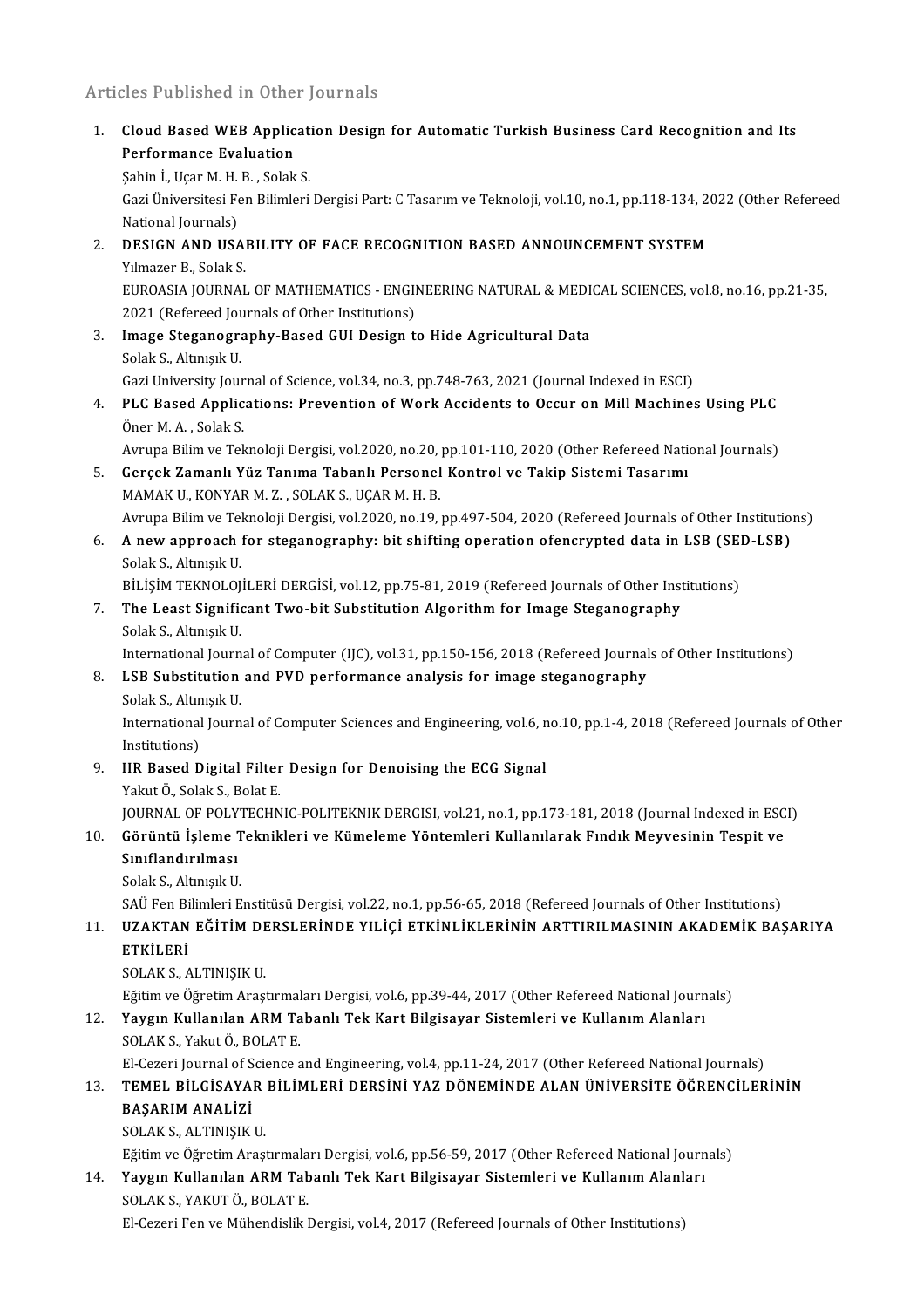### Articles Published in Other Journals

Inticles Published in Other Journals<br>1. Cloud Based WEB Application Design for Automatic Turkish Business Card Recognition and Its<br>Refermance Evaluation Performance III Street<br>Performance Evaluation<br>Sebin L. Hear M. H. B. Selek Cloud Based WEB Applicat:<br>Performance Evaluation<br>Şahin İ., Uçar M. H. B. , Solak S.<br>Ceri Üniversitesi Fen Bilimleri Performance Evaluation<br>Şahin İ., Uçar M. H. B. , Solak S.<br>Gazi Üniversitesi Fen Bilimleri Dergisi Part: C Tasarım ve Teknoloji, vol.10, no.1, pp.118-134, 2022 (Other Refereed<br>National Journals) Şahin İ., Uçar M. H.<br>Gazi Üniversitesi Fe<br>National Journals)<br>DESICN AND USA Gazi Üniversitesi Fen Bilimleri Dergisi Part: C Tasarım ve Teknoloji, vol.10, no.1, pp.118-134, 20<br>National Journals)<br>2. DESIGN AND USABILITY OF FACE RECOGNITION BASED ANNOUNCEMENT SYSTEM<br>Vilmagar B. Solak S. National Journals)<br>DESIGN AND USAI<br>Yılmazer B., Solak S.<br>EUROASIA JOURNAL Yilmazer B., Solak S.<br>EUROASIA JOURNAL OF MATHEMATICS - ENGINEERING NATURAL & MEDICAL SCIENCES, vol.8, no.16, pp.21-35, Yılmazer B., Solak S.<br>EUROASIA JOURNAL OF MATHEMATICS - ENGII<br>2021 (Refereed Journals of Other Institutions)<br>Image Stegenegraphy, Beeed GUU Design t. 3. Image Steganography-Based GUI Design to Hide Agricultural Data 2021 (Refereed Jou<br><mark>Image Steganogr</mark>a<br>Solak S., Altınışık U.<br>Cazi University Jou Image Steganography-Based GUI Design to Hide Agricultural Data<br>Solak S., Altınışık U.<br>Gazi University Journal of Science, vol.34, no.3, pp.748-763, 2021 (Journal Indexed in ESCI)<br>BLC Based Annligations: Provention of Wark 4. PLC Based Applications: Prevention of Work Accidents to Occur on Mill Machines Using PLC Oner M. A., Solak S. Gazi University Jour<br>PLC Based Applic<br>Öner M. A. , Solak S.<br>Ayruna Bilim ve Tol PLC Based Applications: Prevention of Work Accidents to Occur on Mill Machines Using PLC<br>Öner M. A. , Solak S.<br>Avrupa Bilim ve Teknoloji Dergisi, vol.2020, no.20, pp.101-110, 2020 (Other Refereed National Journals)<br>Coreek Öner M. A. , Solak S.<br>Avrupa Bilim ve Teknoloji Dergisi, vol.2020, no.20, pp.101-110, 2020 (Other Refereed National Avrupa Bilim ve Takip Sistemi Tasarımı<br>5. Gerçek Zamanlı Yüz Tanıma Tabanlı Personel Kontrol ve Takip Sist Avrupa Bilim ve Teknoloji Dergisi, vol.2020, no.20,<br>Gerçek Zamanlı Yüz Tanıma Tabanlı Personel<br>MAMAK U., KONYAR M. Z. , SOLAK S., UÇAR M. H. B.<br>Ayruna Bilim ve Talmalaji Dergisi, vol.2020, na.19, . Gerçek Zamanlı Yüz Tanıma Tabanlı Personel Kontrol ve Takip Sistemi Tasarımı<br>MAMAK U., KONYAR M. Z. , SOLAK S., UÇAR M. H. B.<br>Avrupa Bilim ve Teknoloji Dergisi, vol.2020, no.19, pp.497-504, 2020 (Refereed Journals of Other MAMAK U., KONYAR M. Z. , SOLAK S., UÇAR M. H. B.<br>Avrupa Bilim ve Teknoloji Dergisi, vol.2020, no.19, pp.497-504, 2020 (Refereed Journals of Other Institution<br>6. A new approach for steganography: bit shifting operation ofen Avrupa Bilim ve Tel<br><mark>A new approach</mark><br>Solak S., Altınışık U.<br>Pit isim TEKNOLOL A new approach for steganography: bit shifting operation ofencrypted data in LSB (SEI<br>Solak S., Altınışık U.<br>BİLİŞİM TEKNOLOJİLERİ DERGİSİ, vol.12, pp.75-81, 2019 (Refereed Journals of Other Institutions)<br>The Least Signifi Solak S., Altınışık U.<br>BİLİŞİM TEKNOLOJİLERİ DERGİSİ, vol.12, pp.75-81, 2019 (Refereed Journals of Other Inst<br>7. The Least Significant Two-bit Substitution Algorithm for Image Steganography<br>Solak S. Altınıalı II. BİLİŞİM TEKNOLOJ<br><mark>The Least Signific</mark><br>Solak S., Altınışık U.<br>International Jeurn The Least Significant Two-bit Substitution Algorithm for Image Steganography<br>Solak S., Altınışık U.<br>International Journal of Computer (IJC), vol.31, pp.150-156, 2018 (Refereed Journals of Other Institutions)<br>LSB Substituti Solak S., Altınışık U.<br>International Journal of Computer (IJC), vol.31, pp.150-156, 2018 (Refereed Journa<br>8. LSB Substitution and PVD performance analysis for image steganography<br>Solak S., Altınışık U. International Journ<br><mark>LSB Substitution</mark><br>Solak S., Altınışık U.<br>International Journ LSB Substitution and PVD performance analysis for image steganography<br>Solak S., Altınışık U.<br>International Journal of Computer Sciences and Engineering, vol.6, no.10, pp.1-4, 2018 (Refereed Journals of Other<br>Institutions) Solak S., Altın<br>International<br>Institutions)<br>IIP Pased D International Journal of Computer Sciences and Engineering, vol.6, n<br>Institutions)<br>9. IIR Based Digital Filter Design for Denoising the ECG Signal<br>Valut Ö, Salak S, Balat E Institutions)<br>IIR Based Digital Filter<br>Yakut Ö., Solak S., Bolat E.<br>JOUPMAL OF POLYTECHN IIR Based Digital Filter Design for Denoising the ECG Signal<br>Yakut Ö., Solak S., Bolat E.<br>JOURNAL OF POLYTECHNIC-POLITEKNIK DERGISI, vol.21, no.1, pp.173-181, 2018 (Journal Indexed in ESCI)<br>Cënëntë Jolama Tokniklari ve Këm Yakut Ö., Solak S., Bolat E.<br>10. Görüntü İşleme Teknikleri ve Kümeleme Yöntemleri Kullanılarak Fındık Meyvesinin Tespit ve<br>10. Görüntü İşleme Teknikleri ve Kümeleme Yöntemleri Kullanılarak Fındık Meyvesinin Tespit ve<br>11. S **JOURNAL OF POLY<br>Görüntü İşleme<br>Sınıflandırılması**<br>Selek S. Altınıcık II Görüntü İşleme T<br>Sınıflandırılması<br>Solak S., Altınışık U.<br>SAÜ Een Bilimleri E Sınıflandırılması<br>Solak S., Altınışık U.<br>SAÜ Fen Bilimleri Enstitüsü Dergisi, vol.22, no.1, pp.56-65, 2018 (Refereed Journals of Other Institutions) Solak S., Altınışık U.<br>11. SAÜ Fen Bilimleri Enstitüsü Dergisi, vol.22, no.1, pp.56-65, 2018 (Refereed Journals of Other Institutions)<br>11. UZAKTAN EĞİTİM DERSLERİNDE YILİÇİ ETKİNLİKLERİNİN ARTTIRILMASININ AKADEMİK SAÜ Fen Bi<br><mark>UZAKTAN</mark><br>ETKİLERİ<br>SOLAK S UZAKTAN EĞİTİM DE<br>ETKİLERİ<br>SOLAK S., ALTINIŞIK U.<br>Eğitim ve Öğretim Anasl ETKİLERİ<br>SOLAK S., ALTINIŞIK U.<br>Eğitim ve Öğretim Araştırmaları Dergisi, vol.6, pp.39-44, 2017 (Other Refereed National Journals) 12. SOLAK S., ALTINIŞIK U.<br>12. Yaygın Kullanılan ARM Tabanlı Tek Kart Bilgisayar Sistemleri ve Kullanım Alanları<br>12. Yaygın Kullanılan ARM Tabanlı Tek Kart Bilgisayar Sistemleri ve Kullanım Alanları<br>12. Yaygın Kullanılan A Eğitim ve Öğretim Araştırmal<br>**Yaygın Kullanılan ARM Ta**<br>SOLAK S., Yakut Ö., BOLAT E.<br>El Carari Jaurral of Ssianse s Yaygın Kullanılan ARM Tabanlı Tek Kart Bilgisayar Sistemleri ve Kullanım Alanları<br>SOLAK S., Yakut Ö., BOLAT E.<br>El-Cezeri Journal of Science and Engineering, vol.4, pp.11-24, 2017 (Other Refereed National Journals)<br>TEMEL BU 13. SOLAK S., Yakut Ö., BOLAT E.<br>13. El-Cezeri Journal of Science and Engineering, vol.4, pp.11-24, 2017 (Other Refereed National Journals)<br>13. TEMEL BİLGİSAYAR BİLİMLERİ DERSİNİ YAZ DÖNEMİNDE ALAN ÜNİVERSİTE ÖĞRENCİLERİNİ El-Cezeri Journal of S<br>**TEMEL BİLGİSAYA**<br>BAŞARIM ANALİZİ<br>SOLAK SALTNISIK TEMEL BİLGİSAYAR<br>BAŞARIM ANALİZİ<br>SOLAK S., ALTINIŞIK U.<br>Fğitim ve Öğretim Arası SOLAK S., ALTINIŞIK U.<br>Eğitim ve Öğretim Araştırmaları Dergisi, vol.6, pp.56-59, 2017 (Other Refereed National Journals) SOLAK S., ALTINIŞIK U.<br>14. Yaygın Kullanılan ARM Tabanlı Tek Kart Bilgisayar Sistemleri ve Kullanım Alanları<br>14. Yaygın Kullanılan ARM Tabanlı Tek Kart Bilgisayar Sistemleri ve Kullanım Alanları<br>15. YAKITÖ POLATE Eğitim ve Öğretim Araştırmala<br>**Yaygın Kullanılan ARM Tab**<br>SOLAK S., YAKUT Ö., BOLAT E.<br>El Cazeri Fen ve Mühandislik I SOLAK S., YAKUT Ö., BOLAT E.<br>El-Cezeri Fen ve Mühendislik Dergisi, vol.4, 2017 (Refereed Journals of Other Institutions)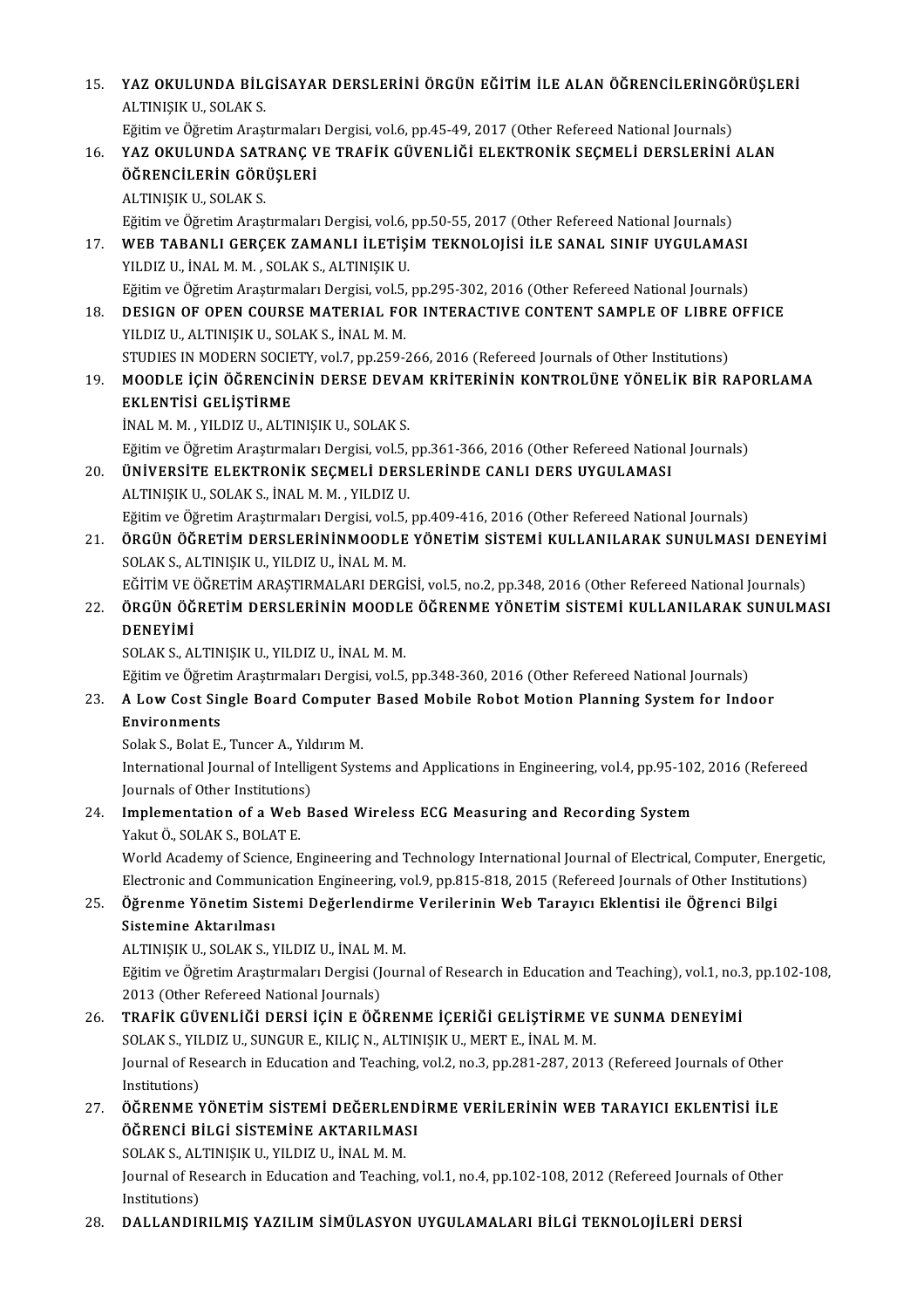- 15. YAZ OKULUNDA BİLGİSAYAR DERSLERİNİ ÖRGÜN EĞİTİM İLE ALAN ÖĞRENCİLERİNGÖRÜŞLERİ<br>ALTINISIK IL SOLAK S **YAZ OKULUNDA BİLO**<br>ALTINIŞIK U., SOLAK S.<br>Fğitim ve Öğretim Arası YAZ OKULUNDA BİLGİSAYAR DERSLERİNİ ÖRGÜN EĞİTİM İLE ALAN ÖĞRENCİLERİNGÖ<br>ALTINIŞIK U., SOLAK S.<br>Eğitim ve Öğretim Araştırmaları Dergisi, vol.6, pp.45-49, 2017 (Other Refereed National Journals)<br>YAZ OKULUNDA SATRANG VE TRAFI 16. ALTINIŞIK U., SOLAK S.<br>16. Eğitim ve Öğretim Araştırmaları Dergisi, vol.6, pp.45-49, 2017 (Other Refereed National Journals)<br>16. YAZ OKULUNDA SATRANÇ VE TRAFİK GÜVENLİĞİ ELEKTRONİK SEÇMELİ DERSLERİNİ ALAN Eğitim ve Öğretim Araştırmaları<br>YAZ OKULUNDA SATRANÇ V<br>ÖĞRENCİLERİN GÖRÜŞLERİ<br>ALTINISIK IL SOLAK S YAZ OKULUNDA SAT<br>ÖĞRENCİLERİN GÖRI<br>ALTINIŞIK U., SOLAK S.<br>Fğitim ve Öğretim Arast ALTINIŞIK U., SOLAK S.<br>Eğitim ve Öğretim Araştırmaları Dergisi, vol.6, pp.50-55, 2017 (Other Refereed National Journals) ALTINIŞIK U., SOLAK S.<br>17. WEB TABANLI GERÇEK ZAMANLI İLETİŞİM TEKNOLOJİSİ İLE SANAL SINIF UYGULAMASI<br>27. WEB TABANLI GERÇEK ZAMANLI İLETİŞİM TEKNOLOJİSİ İLE SANAL SINIF UYGULAMASI<br>21. NILDIZ IL İNALM M. SOLAK S. ALTINISIK Eğitim ve Öğretim Araştırmaları Dergisi, vol.6,<br>WEB TABANLI GERÇEK ZAMANLI İLETİŞİ<br>YILDIZ U., İNAL M. M. , SOLAK S., ALTINIŞIK U.<br>Fğitim ve Öğretim Arastırmaları Dergisi vol.5 WEB TABANLI GERÇEK ZAMANLI İLETİŞİM TEKNOLOJİSİ İLE SANAL SINIF UYGULAMASI<br>YILDIZ U., İNAL M. M. , SOLAK S., ALTINIŞIK U.<br>Eğitim ve Öğretim Araştırmaları Dergisi, vol.5, pp.295-302, 2016 (Other Refereed National Journals)<br> YILDIZ U., İNAL M. M. , SOLAK S., ALTINIŞIK U.<br>Eğitim ve Öğretim Araştırmaları Dergisi, vol.5, pp.295-302, 2016 (Other Refereed National Journals)<br>18. DESIGN OF OPEN COURSE MATERIAL FOR INTERACTIVE CONTENT SAMPLE OF LIBRE Eğitim ve Öğretim Araştırmaları Dergisi, vol.5, pp.295-302, 2016 (Other Refereed National Journals)<br>DESIGN OF OPEN COURSE MATERIAL FOR INTERACTIVE CONTENT SAMPLE OF LIBRE OF<br>YILDIZ U., ALTINIŞIK U., SOLAK S., İNAL M. M.<br>ST DESIGN OF OPEN COURSE MATERIAL FOR INTERACTIVE CONTENT SAMPLE OF LIBRE<br>YILDIZ U., ALTINIȘIK U., SOLAK S., İNAL M. M.<br>STUDIES IN MODERN SOCIETY, vol.7, pp.259-266, 2016 (Refereed Journals of Other Institutions)<br>MOODLE ICIN YILDIZ U., ALTINIŞIK U., SOLAK S., İNAL M. M.<br>19. MOODLE İÇİN ÖĞRENCİNİN DERSE DEVAM KRİTERİNİN KONTROLÜNE YÖNELİK BİR RAPORLAMA<br>19. MOODLE İÇİN ÖĞRENCİNİN DERSE DEVAM KRİTERİNİN KONTROLÜNE YÖNELİK BİR RAPORLAMA STUDIES IN MODERN SOCIE<br><mark>MOODLE İÇİN ÖĞRENCİN</mark><br>EKLENTİSİ GELİŞTİRME<br><sup>İNALMA</sup>MA YU DIZ UALTI MOODLE İÇİN ÖĞRENCİNİN DERSE DEVA<br>EKLENTİSİ GELİŞTİRME<br>İNAL M. M. , YILDIZ U., ALTINIŞIK U., SOLAK S.<br>Eğitim ve Öğretim Arastırmaları Dergisi vel E EKLENTİSİ GELİŞTİRME<br>İNAL M. M. , YILDIZ U., ALTINIŞIK U., SOLAK S.<br>Eğitim ve Öğretim Araştırmaları Dergisi, vol.5, pp.361-366, 2016 (Other Refereed National Journals)<br>ÜNİVERSİTE EL EKTRONİK SECMELİ DERSI ERİNDE CANLI DERS INAL M. M. , YILDIZ U., ALTINIŞIK U., SOLAK S.<br>Eğitim ve Öğretim Araştırmaları Dergisi, vol.5, pp.361-366, 2016 (Other Refereed Nation<br>20. ÜNİVERSİTE ELEKTRONİK SEÇMELİ DERSLERİNDE CANLI DERS UYGULAMASI<br>ALTINIŞIK U., S Eğitim ve Öğretim Araştırmaları Dergisi, vol.5,<br>**ÜNİVERSİTE ELEKTRONİK SEÇMELİ DER:**<br>ALTINIŞIK U., SOLAK S., İNAL M. M. , YILDIZ U.<br>Fğitim ve Öğretim Arastırmaları Dergisi vol E. ÜNİVERSİTE ELEKTRONİK SEÇMELİ DERSLERİNDE CANLI DERS UYGULAMASI<br>ALTINIŞIK U., SOLAK S., İNAL M. M. , YILDIZ U.<br>Eğitim ve Öğretim Araştırmaları Dergisi, vol.5, pp.409-416, 2016 (Other Refereed National Journals)<br>ÖRCÜN ÖĞRET 21. ÖRGÜN ÖĞRETİM DERSLERİNİNMOODLE YÖNETİM SİSTEMİ KULLANILARAK SUNULMASI DENEYİMİ<br>SOLAK S., ALTINIŞIK U., YILDIZ U., İNAL M. M. Eğitim ve Öğretim Araştırmaları Dergisi, vol.5,<br><mark>ÖRGÜN ÖĞRETİM DERSLERİNİNMOODLE</mark><br>SOLAK S., ALTINIŞIK U., YILDIZ U., İNAL M. M.<br>FĞİTİM VE ÖĞRETİM ARASTIRMALARI DERCİ ÖRGÜN ÖĞRETİM DERSLERİNİNMOODLE YÖNETİM SİSTEMİ KULLANILARAK SUNULMASI DENEYİ<br>SOLAK S., ALTINIŞIK U., YILDIZ U., İNAL M. M.<br>EĞİTİM VE ÖĞRETİM ARAŞTIRMALARI DERGİSİ, vol.5, no.2, pp.348, 2016 (Other Refereed National Journa SOLAK S., ALTINIŞIK U., YILDIZ U., İNAL M. M.<br>22. ÖRGÜN VE ÖĞRETİM ARAŞTIRMALARI DERGİSİ, vol.5, no.2, pp.348, 2016 (Other Refereed National Journals)<br>22. ÖRGÜN ÖĞRETİM DERSLERİNİN MOODLE ÖĞRENME YÖNETİM SİSTEMİ KULLANILAR EĞİTİM VE Ö<br><mark>ÖRGÜN ÖĞ</mark><br>DENEYİMİ<br>SOLAK SLAI ÖRGÜN ÖĞRETİM DERSLERİNİN MOODLI<br>DENEYİMİ<br>SOLAK S., ALTINIŞIK U., YILDIZ U., İNAL M. M.<br>Fğitim ve Öğretim Arastırmaları Dergisi, vel 5 **DENEYİMİ**<br>SOLAK S., ALTINIŞIK U., YILDIZ U., İNAL M. M.<br>Eğitim ve Öğretim Araştırmaları Dergisi, vol.5, pp.348-360, 2016 (Other Refereed National Journals) 23. SOLAK S., ALTINIȘIK U., YILDIZ U., İNAL M. M.<br>23. A Low Cost Single Board Computer Based Mobile Robot Motion Planning System for Indoor<br>23. A Low Cost Single Board Computer Based Mobile Robot Motion Planning System for Eğitim ve Öğretin<br>A Low Cost Sir<br>Environments<br>Selek S. Pelet E A Low Cost Single Board Compute<br>Environments<br>Solak S., Bolat E., Tuncer A., Yıldırım M.<br>International Journal of Intelligent Suct Environments<br>Solak S., Bolat E., Tuncer A., Yıldırım M.<br>International Journal of Intelligent Systems and Applications in Engineering, vol.4, pp.95-102, 2016 (Refereed Solak S., Bolat E., Tuncer A., Yıldırım M. 24. Implementation of a Web Based Wireless ECG Measuring and Recording System Yakut Ö., SOLAK S., BOLAT E. Journals of Other Institutions) I<mark>mplementation of a Web Based Wireless ECG Measuring and Recording System</mark><br>Yakut Ö., SOLAK S., BOLAT E.<br>World Academy of Science, Engineering and Technology International Journal of Electrical, Computer, Energetic, Yakut Ö., SOLAK S., BOLAT E.<br>World Academy of Science, Engineering and Technology International Journal of Electrical, Computer, Energet<br>Electronic and Communication Engineering, vol.9, pp.815-818, 2015 (Refereed Journals World Academy of Science, Engineering and Technology International Journal of Electrical, Computer, En<br>Electronic and Communication Engineering, vol.9, pp.815-818, 2015 (Refereed Journals of Other Instituti<br>25. Öğrenme Yön Electronic and Communication Engineering, vol.9, pp.815-818, 2015 (Refereed Journals of Other Institutions)<br>Öğrenme Yönetim Sistemi Değerlendirme Verilerinin Web Tarayıcı Eklentisi ile Öğrenci Bilgi<br>Sistemine Aktarılması<br>A Öğrenme Yönetim Sistemi Değerlendirm<br>Sistemine Aktarılması<br>ALTINIŞIK U., SOLAK S., YILDIZ U., İNAL M. M.<br>Fğitim ve Öğretim Arastırmaları Dergisi (Journ Eğitim ve Öğretim Araştırmaları Dergisi (Journal of Research in Education and Teaching), vol.1, no.3, pp.102-108, 2013 (Other Refereed National Journals) 26. Eğitim ve Öğretim Araştırmaları Dergisi (Journal of Research in Education and Teaching), vol.1, no.<br>26. TRAFİK GÜVENLİĞİ DERSİ İÇİN E ÖĞRENME İÇERİĞİ GELİŞTİRME VE SUNMA DENEYİMİ<br>26. TRAFİK GÜVENLİĞİ DERSİ İÇİN E ÖĞREN 2013 (Other Refereed National Journals)<br>TRAFİK GÜVENLİĞİ DERSİ İÇİN E ÖĞRENME İÇERİĞİ GELİŞTİRME V<br>SOLAK S., YILDIZ U., SUNGUR E., KILIÇ N., ALTINIŞIK U., MERT E., İNAL M. M.<br>Journal of Bessarsh in Edusation and Teashing, TRAFİK GÜVENLİĞİ DERSİ İÇİN E ÖĞRENME İÇERİĞİ GELİŞTİRME VE SUNMA DENEYİMİ<br>SOLAK S., YILDIZ U., SUNGUR E., KILIÇ N., ALTINIŞIK U., MERT E., İNAL M. M.<br>Journal of Research in Education and Teaching, vol.2, no.3, pp.281-287, SOLAK S., YILDIZ U., SUNGUR E., KILIÇ N., ALTINIŞIK U., MERT E., İNAL M. M.<br>Journal of Research in Education and Teaching, vol.2, no.3, pp.281-287, 2013 (Refereed Journals of Other<br>Institutions)<br>27. ÖĞRENME YÖNETİM Sİ Journal of Research in Education and Teaching, vol.2, no.3, pp.281-287, 2013 (Refereed Journals of Other Institutions)<br>ÖĞRENME YÖNETİM SİSTEMİ DEĞERLEND<br>ÖĞRENCİ BİLGİ SİSTEMİNE AKTARILMASI<br>SOLAKS ALTINISIK IL YILDIZ IL İNALM M ÖĞRENME YÖNETİM SİSTEMİ DEĞERLEN<br>ÖĞRENCİ BİLGİ SİSTEMİNE AKTARILMA:<br>SOLAK S., ALTINIŞIK U., YILDIZ U., İNAL M. M.<br>Journal of Bessarsh in Edusation and Teashin Journal of Research in Education and Teaching, vol.1, no.4, pp.102-108, 2012 (Refereed Journals of Other<br>Institutions) SOLAK S., ALTINISIK U., YILDIZ U., İNAL M. M.
- 28. DALLANDIRILMIŞ YAZILIM SİMÜLASYON UYGULAMALARI BİLGİ TEKNOLOJİLERİ DERSİ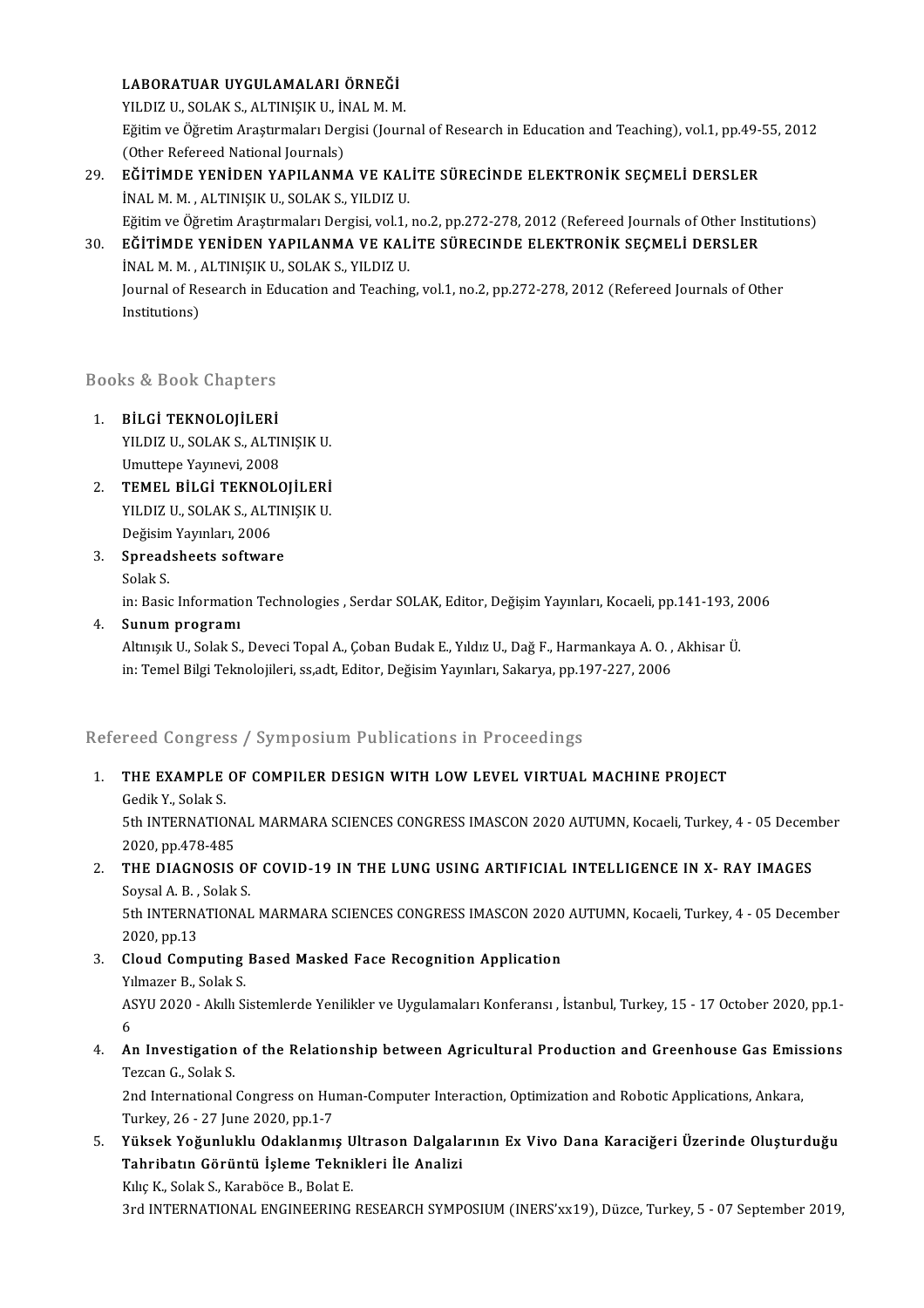#### LABORATUAR UYGULAMALARI ÖRNEĞİ

LABORATUAR UYGULAMALARI ÖRNEĞİ<br>YILDIZ U., SOLAK S., ALTINIŞIK U., İNAL M. M.<br>Fğitim ve Öğretim Arastrunaları Dergisi (Journ Eğitim ve Öğretim Araştırmaları Dergisi (Journal of Research in Education and Teaching), vol.1, pp.49-55, 2012<br>(Other Refereed National Journals) YILDIZ U., SOLAK S., ALTINIŞIK U., İN<br>Eğitim ve Öğretim Araştırmaları Der<br>(Other Refereed National Journals)<br>Eğ**itimde Yeniden YAPILANM** Eğitim ve Öğretim Araştırmaları Dergisi (Journal of Research in Education and Teaching), vol.1, pp.49-<br>(Other Refereed National Journals)<br>29. EĞİTİMDE YENİDEN YAPILANMA VE KALİTE SÜRECİNDE ELEKTRONİK SEÇMELİ DERSLER<br>1NALM

- (Other Refereed National Journals)<br>**EĞİTİMDE YENİDEN YAPILANMA VE KAL**<br>İNAL M. M. , ALTINIŞIK U., SOLAK S., YILDIZ U.<br>Eğitim ve Öğretim Arastırmaları Dergisi vel 1 EĞİTİMDE YENİDEN YAPILANMA VE KALİTE SÜRECİNDE ELEKTRONİK SEÇMELİ DERSLER<br>İNAL M. M. , ALTINIŞIK U., SOLAK S., YILDIZ U.<br>Eğitim ve Öğretim Araştırmaları Dergisi, vol.1, no.2, pp.272-278, 2012 (Refereed Journals of Other In INAL M. M. , ALTINIŞIK U., SOLAK S., YILDIZ U.<br>Eğitim ve Öğretim Araştırmaları Dergisi, vol.1, no.2, pp.272-278, 2012 (Refereed Journals of Other Inst<br>30. EĞİTİMDE YENİDEN YAPILANMA VE KALİTE SÜRECINDE ELEKTRONİK SEÇMELİ D
- Eğitim ve Öğretim Araştırmaları Dergisi, vol.1,<br>**EĞİTİMDE YENİDEN YAPILANMA VE KAL**<br>İNAL M. M. , ALTINIŞIK U., SOLAK S., YILDIZ U.<br>Journal of Besearsh in Education and Teachine EĞİTİMDE YENİDEN YAPILANMA VE KALİTE SÜRECINDE ELEKTRONİK SEÇMELİ DERSLER<br>İNAL M. M. , ALTINIŞIK U., SOLAK S., YILDIZ U.<br>Journal of Research in Education and Teaching, vol.1, no.2, pp.272-278, 2012 (Refereed Journals of Ot INAL M. M. , .<br>Journal of Re<br>Institutions)

# nsututions)<br>Books & Book Chapters

- 300ks & Book Chapters<br>1. BILGI TEKNOLOJILERI<br>2014 XI PIZIL SOLAK SALTI IS & BOOK SHAPESTS<br>BİLGİ TEKNOLOJİLERİ<br>YILDIZ U., SOLAK S., ALTINIŞIK U.<br>Umuttana Yaymayi, 2008 BİLGİ TEKNOLOJİLERİ<br>YILDIZ U., SOLAK S., ALTII<br>Umuttepe Yayınevi, 2008<br>TEMEL BİL Çİ TEKNOLO YILDIZ U., SOLAK S., ALTINIŞIK U.<br>Umuttepe Yayınevi, 2008<br>2. TEMEL BİLGİ TEKNOLOJİLERİ
- Umuttepe Yayınevi, 2008<br>TEMEL BİLGİ TEKNOLOJİLERİ<br>YILDIZ U., SOLAK S., ALTINIŞIK U.<br>Değisim Yayınları, 2006 **TEMEL BİLGİ TEKNOL<br>YILDIZ U., SOLAK S., ALT<br>Değisim Yayınları, 2006<br>Sareadsheets seftuar** YILDIZ U., SOLAK S., ALTINIŞIK U.<br>Değisim Yayınları, 2006<br>3. Spreadsheets software<br>Solak S. Değisim Yayınları, 2006
- Spreadsheets software<br>Solak S.<br>in: Basic Information Technologies , Serdar SOLAK, Editor, Değişim Yayınları, Kocaeli, pp.141-193, 2006<br>Sunum programı
- 4. Sunum programı<br>Altınışık U., Solak S., Deveci Topal A., Çoban Budak E., Yıldız U., Dağ F., Harmankaya A. O. , Akhisar Ü. in: Basic Information Technologies , Serdar SOLAK, Editor, Değişim Yayınları, Kocaeli, pp.141-193, 2<br>S<mark>unum programı</mark><br>Altınışık U., Solak S., Deveci Topal A., Çoban Budak E., Yıldız U., Dağ F., Harmankaya A. O. , Akhisar Ü in: Temel Bilgi Teknolojileri, ss,adt, Editor, Değisim Yayınları, Sakarya, pp.197-227, 2006

### Refereed Congress / Symposium Publications in Proceedings

# Refereed Congress / Symposium Publications in Proceedings<br>1. THE EXAMPLE OF COMPILER DESIGN WITH LOW LEVEL VIRTUAL MACHINE PROJECT<br>Cedity Selats THE EXAMPLE<br>THE EXAMPLE<br>Gedik Y., Solak S.<br>Eth INTERNATIO

THE EXAMPLE OF COMPILER DESIGN WITH LOW LEVEL VIRTUAL MACHINE PROJECT<br>Gedik Y., Solak S.<br>5th INTERNATIONAL MARMARA SCIENCES CONGRESS IMASCON 2020 AUTUMN, Kocaeli, Turkey, 4 - 05 December<br>2020. pp.479.495 3020 Gedik Y., Solak S.<br>2020, pp.478-485<br>745 DIACNOSIS 5th INTERNATIONAL MARMARA SCIENCES CONGRESS IMASCON 2020 AUTUMN, Kocaeli, Turkey, 4 - 05 Decem<br>2020, pp.478-485<br>2. THE DIAGNOSIS OF COVID-19 IN THE LUNG USING ARTIFICIAL INTELLIGENCE IN X- RAY IMAGES<br>Soveel A. B. Solak S.

# 2020, pp.478-485<br>2. THE DIAGNOSIS OF COVID-19 IN THE LUNG USING ARTIFICIAL INTELLIGENCE IN X- RAY IMAGES<br>Soysal A. B., Solak S.

5th INTERNATIONAL MARMARA SCIENCES CONGRESS IMASCON 2020 AUTUMN, Kocaeli, Turkey, 4 - 05 December 2020,pp.13 5th INTERNATIONAL MARMARA SCIENCES CONGRESS IMASCON 2020<br>2020, pp.13<br>3. Cloud Computing Based Masked Face Recognition Application<br>Vilmarar B. Solak S.

## 2020, pp.13<br>**Cloud Computing**<br>Yılmazer B., Solak S.<br>ASVII 2020 - Alplly S Yılmazer B., Solak S.<br>ASYU 2020 - Akıllı Sistemlerde Yenilikler ve Uygulamaları Konferansı , İstanbul, Turkey, 15 - 17 October 2020, pp.1-Y<sub>1</sub><br>AS<br>6 ASYU 2020 - Akıllı Sistemlerde Yenilikler ve Uygulamaları Konferansı , İstanbul, Turkey, 15 - 17 October 2020, pp.1-<br>6<br>4. An Investigation of the Relationship between Agricultural Production and Greenhouse Gas Emissions<br>Te

# 6<br>An Investigation<br>Tezcan G., Solak S.<br>2nd International. An Investigation of the Relationship between Agricultural Production and Greenhouse Gas Emis<br>Tezcan G., Solak S.<br>2nd International Congress on Human-Computer Interaction, Optimization and Robotic Applications, Ankara,<br>Turk

Tezcan G., Solak S.<br>2nd International Congress on Hu:<br>Turkey, 26 - 27 June 2020, pp.1-7<br>Yüksek Yeğunluklu Odaklanmı

5. Yüksek Yoğunluklu Odaklanmış Ultrason Dalgalarının Ex Vivo Dana Karaciğeri Üzerinde Oluşturduğu Turkey, 26 - 27 June 2020, pp.1-7<br>Yüksek Yoğunluklu Odaklanmış Ultrason Dalgala<br>Tahribatın Görüntü İşleme Teknikleri İle Analizi Yüksek Yoğunluklu Odaklanmış U<br>Tahribatın Görüntü İşleme Tekni<br>Kılıç K., Solak S., Karaböce B., Bolat E.<br>2rd INTERNATIONAL ENCINEERINC

Kılıç K., Solak S., Karaböce B., Bolat E.<br>3rd INTERNATIONAL ENGINEERING RESEARCH SYMPOSIUM (INERS'xx19), Düzce, Turkey, 5 - 07 September 2019,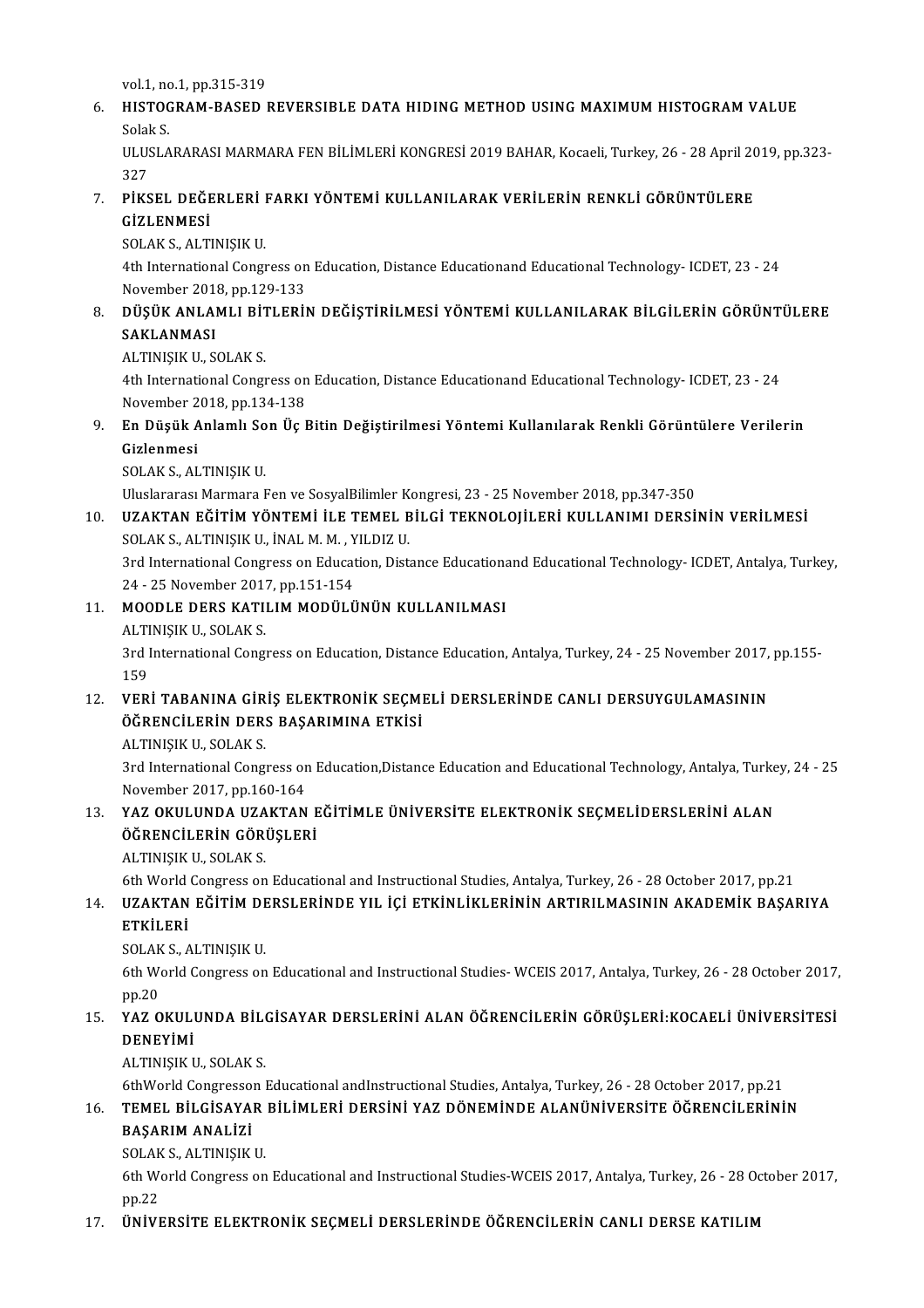vol.1,no.1,pp.315-319

## vol.1, no.1, pp.315-319<br>6. HISTOGRAM-BASED REVERSIBLE DATA HIDING METHOD USING MAXIMUM HISTOGRAM VALUE vol.1, no<br><mark>HISTOC</mark><br>Solak S.<br>III USLA HI<mark>STOGRAM-BASED REVERSIBLE DATA HIDING METHOD USING MAXIMUM HISTOGRAM VALUE</mark><br>Solak S.<br>ULUSLARARASI MARMARA FEN BİLİMLERİ KONGRESİ 2019 BAHAR, Kocaeli, Turkey, 26 - 28 April 2019, pp.323-<br><sup>227</sup>

Solal<br>ULUS<br>327<br>pi*v*s ULUSLARARASI MARMARA FEN BİLİMLERİ KONGRESİ 2019 BAHAR, Kocaeli, Turkey, 26 - 28 April 20<br>327<br>7. PİKSEL DEĞERLERİ FARKI YÖNTEMİ KULLANILARAK VERİLERİN RENKLİ GÖRÜNTÜLERE<br>6.171 ENMESİ

# 327<br>PİKSEL DEĞE<br>GİZLENMESİ<br>SOLAK SLALTI PİKSEL DEĞERLERİ<br>GİZLENMESİ<br>SOLAK S., ALTINIŞIK U.<br>4th International Concu

GİZLENMESİ<br>SOLAK S., ALTINIŞIK U.<br>4th International Congress on Education, Distance Educationand Educational Technology- ICDET, 23 - 24<br>Navember 2018, pp.129, 122 SOLAK S., ALTINIŞIK U.<br>4th International Congress on<br>November 2018, pp.129-133<br>DÜSÜK ANLAM L BİTLERİL 8. 4th International Congress on Education, Distance Educationand Educational Technology- ICDET, 23 - 24<br>November 2018, pp.129-133<br>8. DÜŞÜK ANLAMLI BİTLERİN DEĞİŞTİRİLMESİ YÖNTEMİ KULLANILARAK BİLGİLERİN GÖRÜNTÜLERE

# November 201<br><mark>DÜŞÜK ANLAI</mark><br>SAKLANMASI<br>ALTINISIK IL SI DÜŞÜK ANLAMLI BİT<br>SAKLANMASI<br>ALTINIŞIK U., SOLAK S.<br>Ath International Concu

SAKLANMASI<br>ALTINIŞIK U., SOLAK S.<br>4th International Congress on Education, Distance Educationand Educational Technology- ICDET, 23 - 24<br>Navember 2018, pp.124, 129 ALTINIȘIK U., SOLAK S.<br>4th International Congress on<br>November 2018, pp.134-138<br>En Dücülz Anlamlı Son Üs L 9. 4th International Congress on Education, Distance Educationand Educational Technology- ICDET, 23 - 24<br>19. En Düşük Anlamlı Son Üç Bitin Değiştirilmesi Yöntemi Kullanılarak Renkli Görüntülere Verilerin<br>19. En Düşük Anlam

## November 2018, pp.134-138<br>En Düşük Anlamlı Son Üç |<br>Gizlenmesi<br>SOLAK S., ALTINISIK U. En Düşük Anlamlı So<br>Gizlenmesi<br>SOLAK S., ALTINIŞIK U.<br>Hluelararası Marmana I Gizlenmesi<br>SOLAK S., ALTINIŞIK U.<br>Uluslararası Marmara Fen ve SosyalBilimler Kongresi, 23 - 25 November 2018, pp.347-350<br>UZAKTAN EĞİTİM YÖNTEMİ İLE TEMEL BİL Gİ TEKNOLOLU ERİ KULLANIMI DERSİ.

10. SOLAK S., ALTINIŞIK U.<br>10. Uluslararası Marmara Fen ve SosyalBilimler Kongresi, 23 - 25 November 2018, pp.347-350<br>10. UZAKTAN EĞİTİM YÖNTEMİ İLE TEMEL BİLGİ TEKNOLOJİLERİ KULLANIMI DERSİNİN VERİLMESİ Uluslararası Marmara Fen ve SosyalBilimler K<br>UZAKTAN EĞİTİM YÖNTEMİ İLE TEMEL B<br>SOLAK S., ALTINIŞIK U., İNAL M. M. , YILDIZ U.<br><sup>2</sup>rd International Constess on Education Dist UZAKTAN EĞİTİM YÖNTEMİ İLE TEMEL BİLGİ TEKNOLOJİLERİ KULLANIMI DERSİNİN VERİLMESİ<br>SOLAK S., ALTINIŞIK U., İNAL M. M. , YILDIZ U.<br>3rd International Congress on Education, Distance Educationand Educational Technology- ICDET,

SOLAK S., ALTINIŞIK U., İNAL M. M. , Y<br>3rd International Congress on Educat<br>24 - 25 November 2017, pp.151-154<br>MOODLE BERS KATILIM MODÜLÜ 3rd International Congress on Education, Distance Educationand Educational Technology- ICDET, Antalya, Turkey,<br>24 - 25 November 2017, pp.151-154<br>11. MOODLE DERS KATILIM MODÜLÜNÜN KULLANILMASI

# 24 - 25 November 2011<br>**MOODLE DERS KAT**I<br>ALTINIŞIK U., SOLAK S.<br><sup>2rd</sup> International Concu

ALTINIŞIK U, SOLAK S.

3rd International Congress on Education, Distance Education, Antalya, Turkey, 24 - 25 November 2017, pp.155-<br>159

### 12. VERİ TABANINA GİRİŞ ELEKTRONİK SEÇMELİ DERSLERİNDE CANLI DERSUYGULAMASININ 159<br>VERİ TABANINA GİRİŞ ELEKTRONİK SEÇMI<br>ÖĞRENCİLERİN DERS BAŞARIMINA ETKİSİ<br>ALTINISIK IL SOLAK S **VERİ TABANINA GİR<br>ÖĞRENCİLERİN DER:<br>ALTINIŞIK U., SOLAK S.**<br><sup>2</sup>rd International Concu

ÖĞRENCİLERİN DERS BAŞARIMINA ETKİSİ<br>ALTINIŞIK U., SOLAK S.<br>3rd International Congress on Education,Distance Education and Educational Technology, Antalya, Turkey, 24 - 25 ALTINIȘIK U., SOLAK S.<br>3rd International Congress or<br>November 2017, pp.160-164<br>YAZ OKULUNDA UZAKTAN 3rd International Congress on Education,Distance Education and Educational Technology, Antalya, Turke<br>November 2017, pp.160-164<br>13. YAZ OKULUNDA UZAKTAN EĞİTİMLE ÜNİVERSİTE ELEKTRONİK SEÇMELİDERSLERİNİ ALAN

### November 2017, pp.160-164<br>YAZ OKULUNDA UZAKTAN E<br>ÖĞRENCİLERİN GÖRÜŞLERİ<br>ALTINISIK IL SOLAK S YAZ OKULUNDA UZA<br>ÖĞRENCİLERİN GÖRI<br>ALTINIŞIK U., SOLAK S.<br>Eth World Congress on ÖĞRENCİLERİN GÖRÜŞLERİ<br>ALTINIŞIK U., SOLAK S.<br>6th World Congress on Educational and Instructional Studies, Antalya, Turkey, 26 - 28 October 2017, pp.21

## 14. UZAKTAN EĞİTİMDERSLERİNDE YIL İÇİ ETKİNLİKLERİNİN ARTIRILMASININ AKADEMİK BAŞARIYA 6th World<br>UZAKTAN<br>ETKİLERİ<br>SOLAKS A UZAKTAN EĞİTİM DE<br>ETKİLERİ<br>SOLAK S., ALTINIŞIK U.<br><sup>Eth Morid Congress on</sup>

SOLAK S. ALTINISIK U.

6th World Congress on Educational and Instructional Studies- WCEIS 2017, Antalya, Turkey, 26 - 28 October 2017,<br>6th World Congress on Educational and Instructional Studies- WCEIS 2017, Antalya, Turkey, 26 - 28 October 2017 6th World Congress on Educational and Instructional Studies- WCEIS 2017, Antalya, Turkey, 26 - 28 October 2017,<br>15. YAZ OKULUNDA BİLGİSAYAR DERSLERİNİ ALAN ÖĞRENCİLERİN GÖRÜŞLERİ:KOCAELİ ÜNİVERSİTESİ<br>DENEVIMİ

# pp.20<br>YAZ OKULI<br>DENEYİMİ<br>ALTINISIK I YAZ OKULUNDA BİL<mark>i</mark><br>DENEYİMİ<br>ALTINIŞIK U., SOLAK S.<br><sup>EthWorld Congresson l</sup>

**DENEYİMİ**<br>ALTINIŞIK U., SOLAK S.<br>6thWorld Congresson Educational andInstructional Studies, Antalya, Turkey, 26 - 28 October 2017, pp.21

### 16. TEMEL BİLGİSAYAR BİLİMLERİ DERSİNİ YAZ DÖNEMİNDE ALANÜNİVERSİTE ÖĞRENCİLERİNİN BAŞARIMANALİZİ TEMEL BİLGİSAYAR<br>BAŞARIM ANALİZİ<br>SOLAK S., ALTINIŞIK U.<br>Eth Warld Congress an

6th World Congress on Educational and Instructional Studies-WCEIS 2017, Antalya, Turkey, 26 - 28 October 2017,<br>pp.22 SOLAK<br>6th Wo<br>pp.22<br>ünivu

### 17. ÜNİVERSİTE ELEKTRONİK SEÇMELİ DERSLERİNDE ÖĞRENCİLERİN CANLI DERSE KATILIM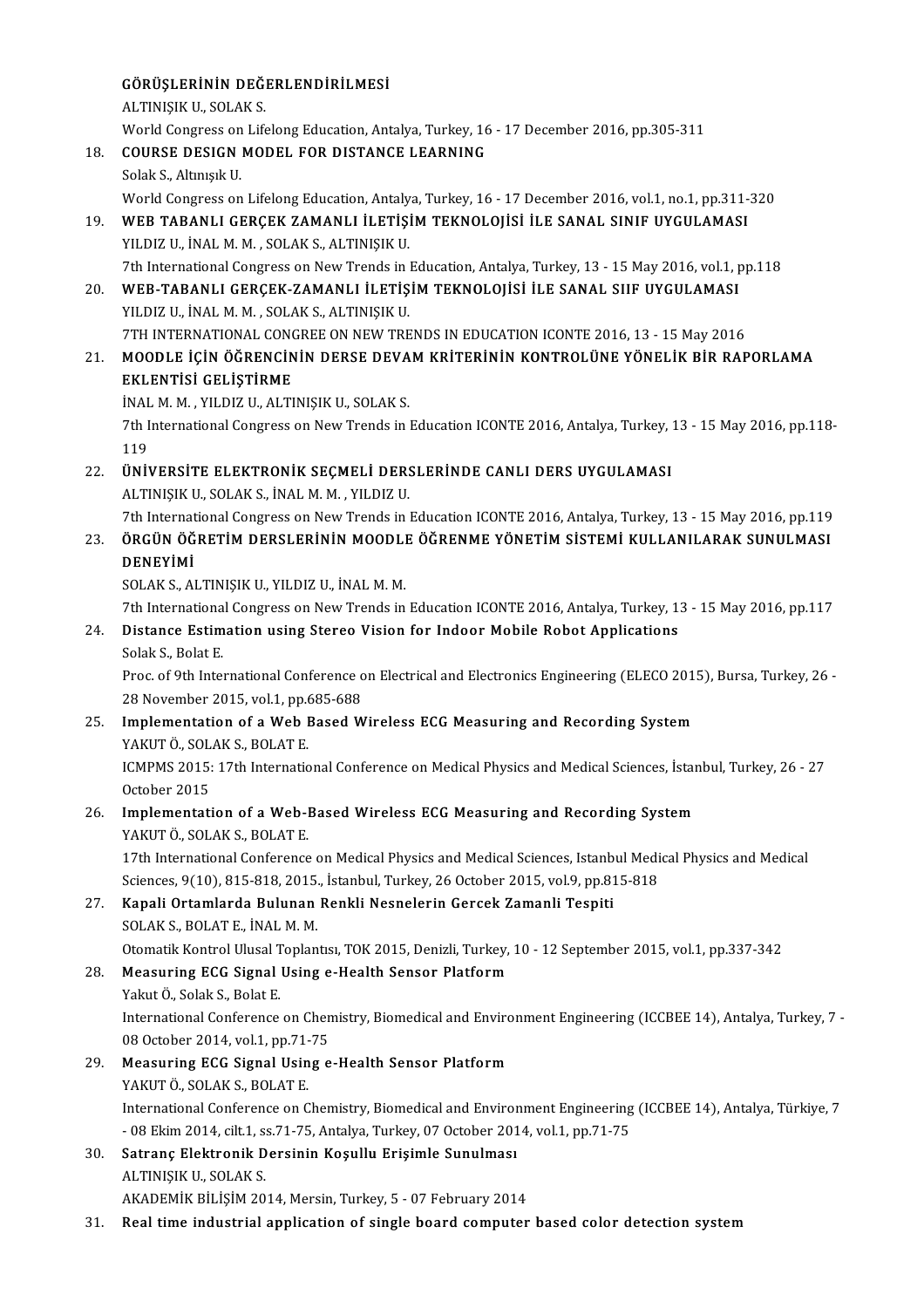### GÖRÜŞLERİNİN DEĞERLENDİRİLMESİ<br>ALTINISIK IL SOLAK S GÖRÜŞLERİNİN DEĞI<br>ALTINIŞIK U., SOLAK S.<br>Warld Congress on Life ALTINIȘIK U., SOLAK S.<br>World Congress on Lifelong Education, Antalya, Turkey, 16 - 17 December 2016, pp.305-311 ALTINIȘIK U., SOLAK S.<br>World Congress on Lifelong Education, Antalya, Turkey, 16<br>18. COURSE DESIGN MODEL FOR DISTANCE LEARNING World Congress on<br>COURSE DESIGN<br>Solak S., Altınışık U.<br>World Congress on Solak S., Altınışık U.<br>World Congress on Lifelong Education, Antalya, Turkey, 16 - 17 December 2016, vol.1, no.1, pp.311-320 Solak S., Altınışık U.<br>19. World Congress on Lifelong Education, Antalya, Turkey, 16 - 17 December 2016, vol.1, no.1, pp.311-<br>19. WEB TABANLI GERÇEK ZAMANLI İLETİŞİM TEKNOLOJİSİ İLE SANAL SINIF UYGULAMASI<br>19. WEB TABANLI A World Congress on Lifelong Education, Antaly<br>WEB TABANLI GERÇEK ZAMANLI İLETİŞİ<br>YILDIZ U., İNAL M. M. , SOLAK S., ALTINIŞIK U.<br>7th International Congress on New Tronds in . WEB TABANLI GERÇEK ZAMANLI İLETİŞİM TEKNOLOJİSİ İLE SANAL SINIF UYGULAMASI<br>YILDIZ U., İNAL M. M. , SOLAK S., ALTINIŞIK U.<br>7th International Congress on New Trends in Education, Antalya, Turkey, 13 - 15 May 2016, vol.1, pp. YILDIZ U., İNAL M. M. , SOLAK S., ALTINIŞIK U.<br>20. WEB-TABANLI GERÇEK-ZAMANLI İLETİŞİM TEKNOLOJİSİ İLE SANAL SIIF UYGULAMASI<br>20. WEB-TABANLI GERÇEK-ZAMANLI İLETİŞİM TEKNOLOJİSİ İLE SANAL SIIF UYGULAMASI 7th International Congress on New Trends in <br>WEB-TABANLI GERÇEK-ZAMANLI İLETİŞ<br>YILDIZ U., İNAL M. M. , SOLAK S., ALTINIŞIK U.<br>7TH INTERNATIONAL CONCREE ON NEW TRE WEB-TABANLI GERÇEK-ZAMANLI İLETİŞİM TEKNOLOJİSİ İLE SANAL SIIF UYGULAMASI<br>YILDIZ U., İNAL M. M. , SOLAK S., ALTINIŞIK U.<br>7TH INTERNATIONAL CONGREE ON NEW TRENDS IN EDUCATION ICONTE 2016, 13 - 15 May 2016<br>MOODLE İCİN ÖĞRENC 21. YILDIZ U., İNAL M. M. , SOLAK S., ALTINIŞIK U.<br>21. MOODLE İÇİN ÖĞRENCİNİN DERSE DEVAM KRİTERİNİN KONTROLÜNE YÖNELİK BİR RAPORLAMA Z1. MOODLE İÇİN ÖĞRENCİNIN DERSE DEVAM KRİTERİNİN KONTROLÜNE YÖNELİK BİR RAPORLAMA EKLENTİSİ GELİŞTİRME MOODLE İÇİN ÖĞRENCİNİN DERSE DEVA<br>EKLENTİSİ GELİŞTİRME<br>İNAL M. M. , YILDIZ U., ALTINIŞIK U., SOLAK S.<br>7th International Congress on New Trands in . 7th International Congress on New Trends in Education ICONTE 2016, Antalya, Turkey, 13 - 15 May 2016, pp.118-<br>119 İNAL<br>7th I<br>119<br>üniy <sup>7</sup>th International Congress on New Trends in Education ICONTE 2016, Antalya, Turkey, 119<br>22. ÜNİVERSİTE ELEKTRONİK SEÇMELİ DERSLERİNDE CANLI DERS UYGULAMASI<br>ALTINISIK IL SOLAK S. İNALM M. YU DIZ U 119<br><mark>ÜNİVERSİTE ELEKTRONİK SEÇMELİ DER:</mark><br>ALTINIŞIK U., SOLAK S., İNAL M. M. , YILDIZ U.<br><sup>7th International Congrees on New Tranda in .</sup> ÜNİVERSİTE ELEKTRONİK SEÇMELİ DERSLERİNDE CANLI DERS UYGULAMASI<br>ALTINIŞIK U., SOLAK S., İNAL M. M. , YILDIZ U.<br>7th International Congress on New Trends in Education ICONTE 2016, Antalya, Turkey, 13 - 15 May 2016, pp.119<br>ÖR ALTINIŞIK U., SOLAK S., İNAL M. M. , YILDIZ U.<br>23. ÖRGÜN ÖĞRETİM DERSLERİNİN MOODLE ÖĞRENME YÖNETİM SİSTEMİ KULLANILARAK SUNULMASI<br>23. ÖRGÜN ÖĞRETİM DERSLERİNİN MOODLE ÖĞRENME YÖNETİM SİSTEMİ KULLANILARAK SUNULMASI 7th Internat<br>ÖRGÜN ÖĞ<br>DENEYİMİ<br>SOLAK SLAI ÖRGÜN ÖĞRETİM DERSLERİNİN MOODLI<br>DENEYİMİ<br>SOLAK S., ALTINIŞIK U., YILDIZ U., İNAL M. M.<br><sup>711</sup>h İnternational Constess on Now Trands in DENEYİMİ<br>SOLAK S., ALTINIŞIK U., YILDIZ U., İNAL M. M.<br>7th International Congress on New Trends in Education ICONTE 2016, Antalya, Turkey, 13 - 15 May 2016, pp.117<br>Distance Estimation using Stance Vision for Indeer Mebile SOLAK S., ALTINIȘIK U., YILDIZ U., İNAL M. M.<br>24. Distance Estimation using Stereo Vision for Indoor Mobile Robot Applications<br>24. Distance Estimation using Stereo Vision for Indoor Mobile Robot Applications Tth Internationa<br>Distance Estim<br>Solak S., Bolat E.<br>Pres of <sup>Oth</sup> Intel Distance Estimation using Stereo Vision for Indoor Mobile Robot Applications<br>Solak S., Bolat E.<br>Proc. of 9th International Conference on Electrical and Electronics Engineering (ELECO 2015), Bursa, Turkey, 26<br>28 November 20 Solak S., Bolat E.<br>Proc. of 9th International Conference of<br>28 November 2015, vol.1, pp.685-688<br>Implementation of a Web Pased W Proc. of 9th International Conference on Electrical and Electronics Engineering (ELECO 201.<br>28 November 2015, vol.1, pp.685-688<br>25. Implementation of a Web Based Wireless ECG Measuring and Recording System<br>25. Implementati 28 November 2015, vol.1, pp.6<br>Implementation of a Web I<br>YAKUT Ö., SOLAK S., BOLAT E.<br>ICMPMS 2015, 17th Internatio I<mark>mplementation of a Web Based Wireless ECG Measuring and Recording System</mark><br>YAKUT Ö., SOLAK S., BOLAT E.<br>ICMPMS 2015: 17th International Conference on Medical Physics and Medical Sciences, İstanbul, Turkey, 26 - 27<br>Ostabar YAKUT Ö., SOL.<br>ICMPMS 2015:<br>October 2015<br>Implementati ICMPMS 2015: 17th International Conference on Medical Physics and Medical Sciences, İstand<br>October 2015<br>26. Implementation of a Web-Based Wireless ECG Measuring and Recording System<br>NAKUT Ö SOLAK S POLAT E October 2015<br>Implementation of a Web-I<br>YAKUT Ö., SOLAK S., BOLAT E.<br>17th International Conference Implementation of a Web-Based Wireless ECG Measuring and Recording System<br>YAKUT Ö., SOLAK S., BOLAT E.<br>17th International Conference on Medical Physics and Medical Sciences, Istanbul Medical Physics and Medical<br>Sciences 0( YAKUT Ö., SOLAK S., BOLAT E.<br>17th International Conference on Medical Physics and Medical Sciences, Istanbul Medi<br>Sciences, 9(10), 815-818, 2015., İstanbul, Turkey, 26 October 2015, vol.9, pp.815-818<br>Kanali Ortamlanda Bulu 27. Kapali Ortamlarda Bulunan Renkli Nesnelerin Gercek Zamanli Tespiti SOLAKS.,BOLATE., İNALM.M. Kapali Ortamlarda Bulunan Renkli Nesnelerin Gercek Zamanli Tespiti<br>SOLAK S., BOLAT E., İNAL M. M.<br>Otomatik Kontrol Ulusal Toplantısı, TOK 2015, Denizli, Turkey, 10 - 12 September 2015, vol.1, pp.337-342<br>Measuring ECC Signa 28. Measuring ECG Signal Using e-Health Sensor Platform Otomatik Kontrol Ulusal T<br>Measuring ECG Signal<br>Yakut Ö., Solak S., Bolat E.<br>International Conference Measuring ECG Signal Using e-Health Sensor Platform<br>Yakut Ö., Solak S., Bolat E.<br>International Conference on Chemistry, Biomedical and Environment Engineering (ICCBEE 14), Antalya, Turkey, 7 -<br>08 Osteber 2014, vol.1, pp.71 Yakut Ö., Solak S., Bolat E.<br>International Conference on Chen<br>08 October 2014, vol.1, pp.71-75<br>Measuring ECC Signal Heing C International Conference on Chemistry, Biomedical and Enviror 08 October 2014, vol.1, pp.71-75<br>29. Measuring ECG Signal Using e-Health Sensor Platform<br>29. Measuring ECG Signal Using e-Health Sensor Platform 08 October 2014, vol.1, pp.71-75<br>Measuring ECG Signal Using e-Health Sensor Platform<br>YAKUT Ö., SOLAK S., BOLAT E. Measuring ECG Signal Using e-Health Sensor Platform<br>YAKUT Ö., SOLAK S., BOLAT E.<br>International Conference on Chemistry, Biomedical and Environment Engineering (ICCBEE 14), Antalya, Türkiye, 7<br>- 08 Ekim 2014, silt 1, ss 71, YAKUT Ö., SOLAK S., BOLAT E.<br>International Conference on Chemistry, Biomedical and Environment Engineering<br>- 08 Ekim 2014, cilt.1, ss.71-75, Antalya, Turkey, 07 October 2014, vol.1, pp.71-75<br>Satrana Elektronik Dersinin Kos International Conference on Chemistry, Biomedical and Enviror<br>30. Satranç Elektronik Dersinin Koşullu Erişimle Sunulması<br>30. Satranç Elektronik Dersinin Koşullu Erişimle Sunulması - 08 Ekim 2014, cilt.1, s:<br>Satranç Elektronik D<br>ALTINIŞIK U., SOLAK S.<br>AKADEMİK PİLİSİM 20 ALTINIŞIK U., SOLAK S.<br>AKADEMİK BİLİŞİM 2014, Mersin, Turkey, 5 - 07 February 2014

31. Real time industrial application of single board computer based color detection system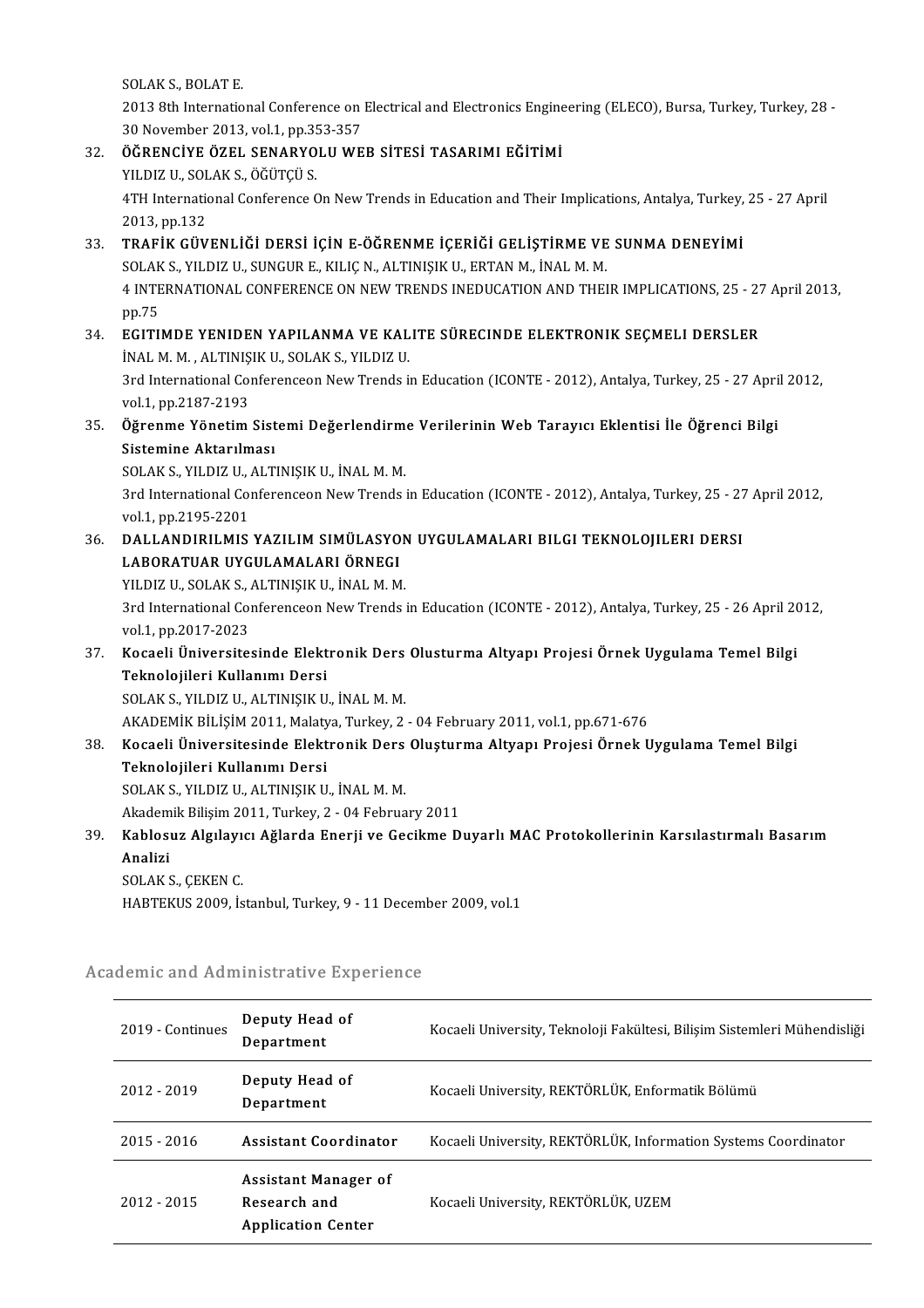SOLAK S., BOLAT E.

SOLAK S., BOLAT E.<br>2013 8th International Conference on Electrical and Electronics Engineering (ELECO), Bursa, Turkey, Turkey, 28<br>20 Nevember 2013, val.1, pp.353, 357. SOLAK S., BOLAT E.<br>2013 8th International Conference on<br>30 November 2013, vol.1, pp.353-357<br>ÖÖPENCİVE ÖZEL SENAPYOLU WE 32. ÖĞRENCİYE ÖZEL SENARYOLUWEB SİTESİ TASARIMI EĞİTİMİ

# 30 November 2013, vol.1, pp.35<br>ÖĞRENCİYE ÖZEL SENARYO<br>YILDIZ U., SOLAK S., ÖĞÜTÇÜ S.<br>4TH International Conference (

4TH International Conference On New Trends in Education and Their Implications, Antalya, Turkey, 25 - 27 April<br>2013, pp.132 YILDIZ U., SOL<br>4TH Internatic<br>2013, pp.132<br>TPAEIK CÜV 4TH International Conference On New Trends in Education and Their Implications, Antalya, Turkey,<br>2013, pp.132<br>33. TRAFİK GÜVENLİĞİ DERSİ İÇİN E-ÖĞRENME İÇERİĞİ GELİŞTİRME VE SUNMA DENEYİMİ<br>SOLAK S. YU DIZ U SUNCUR E. KU IÇ

## 2013, pp.132<br><mark>TRAFİK GÜVENLİĞİ DERSİ İÇİN E-ÖĞRENME İÇERİĞİ GELİŞTİRME VE</mark><br>SOLAK S., YILDIZ U., SUNGUR E., KILIÇ N., ALTINIŞIK U., ERTAN M., İNAL M. M.<br>4 INTERNATIONAL CONEERENCE ON NEW TRENDS INEDUCATION AND TUEL TRAFİK GÜVENLİĞİ DERSİ İÇİN E-ÖĞRENME İÇERİĞİ GELİŞTİRME VE SUNMA DENEYİMİ<br>SOLAK S., YILDIZ U., SUNGUR E., KILIÇ N., ALTINIŞIK U., ERTAN M., İNAL M. M.<br>4 INTERNATIONAL CONFERENCE ON NEW TRENDS INEDUCATION AND THEIR IMPLICA SOLAK<br>4 INTE<br>pp.75<br>ECITU 4 INTERNATIONAL CONFERENCE ON NEW TRENDS INEDUCATION AND THEIR IMPLICATIONS, 25 - 27<br>pp.75<br>34. EGITIMDE YENIDEN YAPILANMA VE KALITE SÜRECINDE ELEKTRONIK SEÇMELI DERSLER<br>iNALM M\_ALTINISIK U\_SOLAK S\_VU DI7 U

pp.75<br>34. EGITIMDE YENIDEN YAPILANMA VE KALITE SÜRECINDE ELEKTRONIK SEÇMELI DERSLER<br>İNAL M. M. , ALTINIŞIK U., SOLAK S., YILDIZ U. EGITIMDE YENIDEN YAPILANMA VE KALITE SÜRECINDE ELEKTRONIK SEÇMELI DERSLER<br>İNAL M. M. , ALTINIŞIK U., SOLAK S., YILDIZ U.<br>3rd International Conferenceon New Trends in Education (ICONTE - 2012), Antalya, Turkey, 25 - 27 Apri iNAL M. M. , ALTINIȘ<br>3rd International Co<br>vol.1, pp.2187-2193<br>Öžrenme Vönetim

## 3rd International Conferenceon New Trends in Education (ICONTE - 2012), Antalya, Turkey, 25 - 27 Apri<br>vol.1, pp.2187-2193<br>35. Öğrenme Yönetim Sistemi Değerlendirme Verilerinin Web Tarayıcı Eklentisi İle Öğrenci Bilgi<br>Siste vol.1, pp.2187-2193<br><mark>Öğrenme Yönetim Sist</mark><br>Sistemine Aktarılması<br>SOLAK S. YU DIZ U. ALT Öğrenme Yönetim Sistemi Değerlendirm<br>Sistemine Aktarılması<br>SOLAK S., YILDIZ U., ALTINIŞIK U., İNAL M. M.<br><sup>2nd</sup> International Conferencean New Tranda i

Sistemine Aktarılması<br>SOLAK S., YILDIZ U., ALTINIŞIK U., İNAL M. M.<br>3rd International Conferenceon New Trends in Education (ICONTE - 2012), Antalya, Turkey, 25 - 27 April 2012, SOLAK S., YILDIZ U., .<br>3rd International Co<br>vol.1, pp.2195-2201<br>DALLANDIBU MIS 3rd International Conferenceon New Trends in Education (ICONTE - 2012), Antalya, Turkey, 25 - 27<br>vol.1, pp.2195-2201<br>36. DALLANDIRILMIS YAZILIM SIMÜLASYON UYGULAMALARI BILGI TEKNOLOJILERI DERSI

# vol.1, pp.2195-2201<br>DALLANDIRILMIS YAZILIM SIMÜLASYO<br>LABORATUAR UYGULAMALARI ÖRNEGI<br>VU DIZ U. SOLAKS, ALTINISIK IL İNALM M DALLANDIRILMIS YAZILIM SIMÜLASYON<br>LABORATUAR UYGULAMALARI ÖRNEGI<br>YILDIZ U., SOLAK S., ALTINIŞIK U., İNAL M. M.<br><sup>2rd</sup> International Conferenceon Now Trands i

LABORATUAR UYGULAMALARI ÖRNEGI<br>YILDIZ U., SOLAK S., ALTINIŞIK U., İNAL M. M.<br>3rd International Conferenceon New Trends in Education (ICONTE - 2012), Antalya, Turkey, 25 - 26 April 2012,<br>Vel 1 nn 2017 2022 YILDIZ U., SOLAK S., .<br>3rd International Co<br>vol.1, pp.2017-2023<br>Kosaali Üniversite 3rd International Conferenceon New Trends in Education (ICONTE - 2012), Antalya, Turkey, 25 - 26 April 20<br>vol.1, pp.2017-2023<br>37. Kocaeli Üniversitesinde Elektronik Ders Olusturma Altyapı Projesi Örnek Uygulama Temel Bilgi

## vol.1, pp.2017-2023<br><mark>Kocaeli Üniversitesinde Elekt</mark><br>Teknolojileri Kullanımı Dersi<br>SOLAK S. YU DIZ IL ALTINISIK U Kocaeli Üniversitesinde Elektronik Ders<br>Teknolojileri Kullanımı Dersi<br>SOLAK S., YILDIZ U., ALTINIŞIK U., İNAL M. M.<br>AKADEMİK PİLİSİM 2011 Malatın Turkay 2 Teknolojileri Kullanımı Dersi<br>SOLAK S., YILDIZ U., ALTINIŞIK U., İNAL M. M.<br>AKADEMİK BİLİŞİM 2011, Malatya, Turkey, 2 - 04 February 2011, vol.1, pp.671-676<br>Kosaali Üniversitesinde Elektronik Ders Olusturma Altyanı Projesi

## 50LAK S., YILDIZ U., ALTINIŞIK U., İNAL M. M.<br>AKADEMİK BİLİŞİM 2011, Malatya, Turkey, 2 - 04 February 2011, vol.1, pp.671-676<br>38. Kocaeli Üniversitesinde Elektronik Ders Oluşturma Altyapı Projesi Örnek Uygulama Temel Bilgi AKADEMİK BİLİŞİM 2011, Malaty<br>Kocaeli Üniversitesinde Elekt<br>Teknolojileri Kullanımı Dersi<br>SOLAK S. YU DIZ U. ALTINISIK U Teknolojileri Kullanımı Dersi<br>SOLAK S., YILDIZ U., ALTINIŞIK U., İNAL M. M.<br>Akademik Bilişim 2011, Turkey, 2 - 04 February 2011<br>Kahlasur Algılayısı Ağlarda Enerii ve Casilime D.

SOLAK S., YILDIZ U., ALTINIŞIK U., İNAL M.M.

### SOLAK S., YILDIZ U., ALTINIŞIK U., İNAL M. M.<br>Akademik Bilişim 2011, Turkey, 2 - 04 February 2011<br>39. Kablosuz Algılayıcı Ağlarda Enerji ve Gecikme Duyarlı MAC Protokollerinin Karsılastırmalı Basarım<br>Anelisi Akadem<br><mark>Kablos</mark>i<br>Analizi<br>SOLAK ( Kablosuz Algılayı<br>Analizi<br>SOLAK S., ÇEKEN C.<br>HARTEKUS 2000 İo Analizi<br>SOLAK S., ÇEKEN C.<br>HABTEKUS 2009, İstanbul, Turkey, 9 - 11 December 2009, vol.1

| 2019 - Continues | Deputy Head of<br>Department                                      | Kocaeli University, Teknoloji Fakültesi, Bilişim Sistemleri Mühendisliği |
|------------------|-------------------------------------------------------------------|--------------------------------------------------------------------------|
| 2012 - 2019      | Deputy Head of<br>Department                                      | Kocaeli University, REKTÖRLÜK, Enformatik Bölümü                         |
| $2015 - 2016$    | Assistant Coordinator                                             | Kocaeli University, REKTÖRLÜK, Information Systems Coordinator           |
| $2012 - 2015$    | Assistant Manager of<br>Research and<br><b>Application Center</b> | Kocaeli University, REKTÖRLÜK, UZEM                                      |

# nabTEKUS 2009, Islandul, Turkey, 9 - 11 Decem<br>Academic and Administrative Experience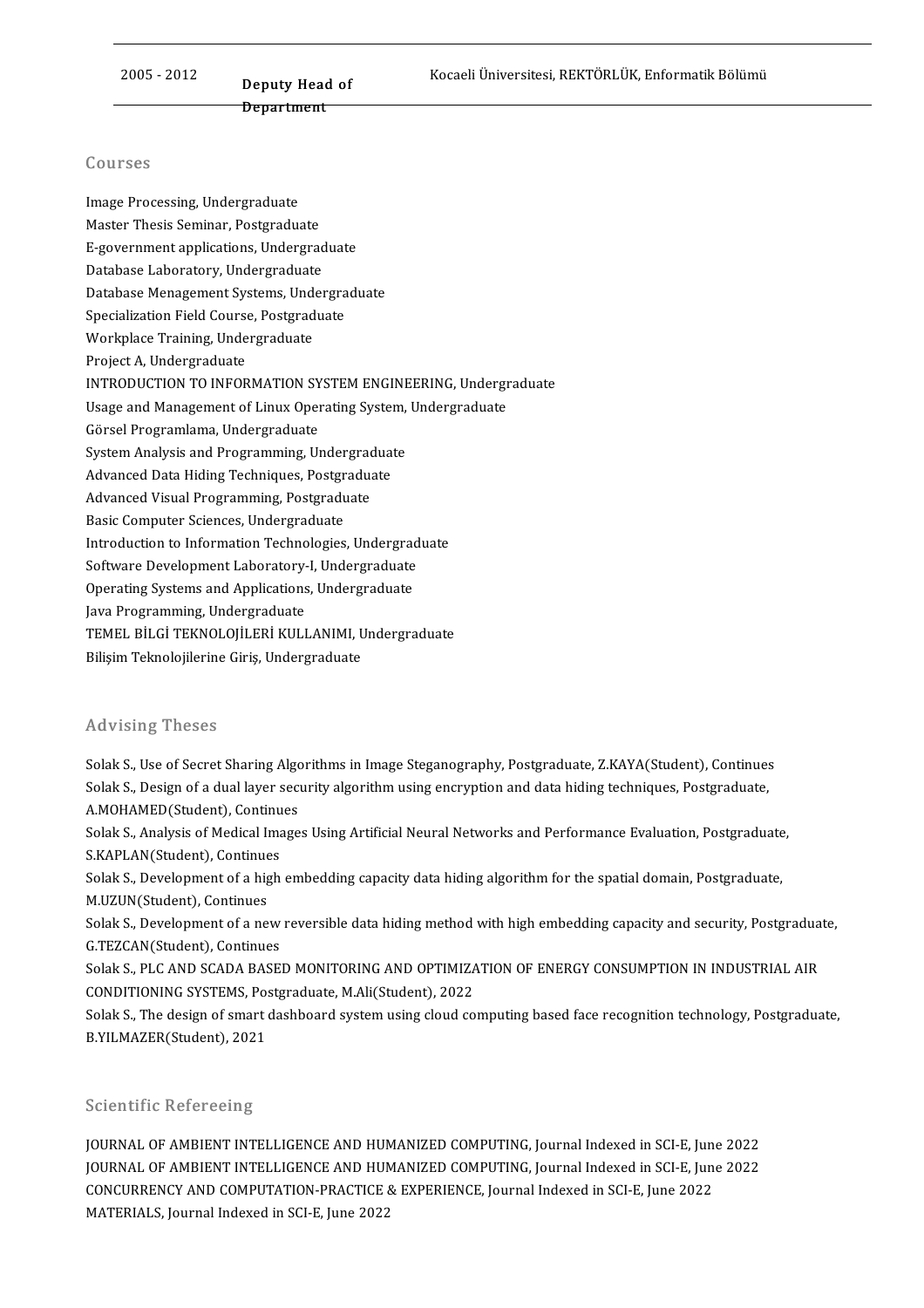# <u>Deputy Head of</u><br>Deputy Head of Deputy Heac<br><del>Department</del>

#### Courses

Image Processing, Undergraduate dourbos<br>Image Processing, Undergraduate<br>Master Thesis Seminar, Postgraduate<br>E gevernment emplications, Undergrad Image Processing, Undergraduate<br>Master Thesis Seminar, Postgraduate<br>E-government applications, Undergraduate<br>Database Laberstery, Undergraduate Master Thesis Seminar, Postgraduate<br>E-government applications, Undergrad<br>Database Laboratory, Undergraduate<br>Database Managamant Systems, Under E-government applications, Undergraduate<br>Database Laboratory, Undergraduate<br>Database Menagement Systems, Undergraduate<br>Specialization Eield Gource, Bestanduate Database Laboratory, Undergraduate<br>Database Menagement Systems, Undergra<br>Specialization Field Course, Postgraduate<br>Werlmlase Training Undergraduate Database Menagement Systems, Under<br>Specialization Field Course, Postgrad<br>Workplace Training, Undergraduate<br>Proiect A Undergraduate Specialization Field Course, Postgraduate<br>Workplace Training, Undergraduate<br>Project A, Undergraduate INTRODUCTION TO INFORMATION SYSTEM ENGINEERING, Undergraduate Project A, Undergraduate<br>INTRODUCTION TO INFORMATION SYSTEM ENGINEERING, Undergr<br>Usage and Management of Linux Operating System, Undergraduate<br>Cörsel Pregramlame Undergraduate INTRODUCTION TO INFORMATION SY<br>Usage and Management of Linux Oper<br>Görsel Programlama, Undergraduate<br>System Analysis and Programming Un Usage and Management of Linux Operating System,<br>Görsel Programlama, Undergraduate<br>System Analysis and Programming, Undergraduate<br>Advanced Data Hiding Techniques, Postgraduate Görsel Programlama, Undergraduate<br>System Analysis and Programming, Undergraduat<br>Advanced Data Hiding Techniques, Postgraduate<br>Advanced Visual Programming, Postgraduate System Analysis and Programming, Undergraduated<br>Advanced Data Hiding Techniques, Postgraduate<br>Advanced Visual Programming, Postgraduate<br>Pasis Computer Ssiences, Undergraduate Advanced Data Hiding Techniques, Postgraduate<br>Advanced Visual Programming, Postgraduate<br>Basic Computer Sciences, Undergraduate Advanced Visual Programming, Postgraduate<br>Basic Computer Sciences, Undergraduate<br>Introduction to Information Technologies, Undergraduate<br>Seftyare Development Laboratory J. Undergraduate Basic Computer Sciences, Undergraduate<br>Introduction to Information Technologies, Undergrad<br>Software Development Laboratory-I, Undergraduate<br>Operating Systems and Applications Undergraduate Introduction to Information Technologies, Undergraduate<br>Software Development Laboratory-I, Undergraduate<br>Operating Systems and Applications, Undergraduate<br>Java Brogramming Undergraduate Software Development Laboratory-I, Undergraduate<br>Operating Systems and Applications, Undergraduate<br>Java Programming, Undergraduate Operating Systems and Applications, Undergraduate<br>Java Programming, Undergraduate<br>TEMEL BİLGİ TEKNOLOJİLERİ KULLANIMI, Undergraduate<br>Bilisim Telmolojilerine Giris, Undergraduate Java Programming, Undergraduate<br>TEMEL BİLGİ TEKNOLOJİLERİ KULLANIMI, U<br>Bilişim Teknolojilerine Giriş, Undergraduate Bilişim Teknolojilerine Giriş, Undergraduate<br>Advising Theses

Solak S., Use of Secret Sharing Algorithms in Image Steganography, Postgraduate, Z.KAYA(Student), Continues You Vorry Yncoces<br>Solak S., Use of Secret Sharing Algorithms in Image Steganography, Postgraduate, Z.KAYA(Student), Continues<br>Solak S., Design of a dual layer security algorithm using encryption and data hiding techniques, Solak S., Use of Secret Sharing Algo<br>Solak S., Design of a dual layer sec<br>A.MOHAMED(Student), Continues<br>Solak S. Analysis of Medical Image Solak S., Design of a dual layer security algorithm using encryption and data hiding techniques, Postgraduate,<br>A.MOHAMED(Student), Continues<br>Solak S., Analysis of Medical Images Using Artificial Neural Networks and Perform

A.MOHAMED(Student), Continue<br>Solak S., Analysis of Medical Ima<br>S.KAPLAN(Student), Continues<br>Solak S. Davelenment of a high Solak S., Analysis of Medical Images Using Artificial Neural Networks and Performance Evaluation, Postgraduate<br>S.KAPLAN(Student), Continues<br>Solak S., Development of a high embedding capacity data hiding algorithm for the s

S.KAPLAN(Student), Continues<br>Solak S., Development of a high embedding capacity data hiding algorithm for the spatial domain, Postgraduate,<br>M.UZUN(Student), Continues Solak S., Development of a high embedding capacity data hiding algorithm for the spatial domain, Postgraduate,<br>M.UZUN(Student), Continues<br>Solak S., Development of a new reversible data hiding method with high embedding cap

M.UZUN(Student), Continues<br>Solak S., Development of a new<br>G.TEZCAN(Student), Continues<br>Solak S. BLC AND SCADA BASE! Solak S., Development of a new reversible data hiding method with high embedding capacity and security, Postgradua<br>G.TEZCAN(Student), Continues<br>Solak S., PLC AND SCADA BASED MONITORING AND OPTIMIZATION OF ENERGY CONSUMPTIO

G.TEZCAN(Student), Continues<br>Solak S., PLC AND SCADA BASED MONITORING AND OPTIMIZA<br>CONDITIONING SYSTEMS, Postgraduate, M.Ali(Student), 2022<br>Solak S. The design of smart dashboard system using sloud 20 Solak S., PLC AND SCADA BASED MONITORING AND OPTIMIZATION OF ENERGY CONSUMPTION IN INDUSTRIAL AIR CONDITIONING SYSTEMS, Postgraduate, M.Ali(Student), 2022<br>Solak S., The design of smart dashboard system using cloud computin

CONDITIONING SYSTEMS, Po:<br>Solak S., The design of smart o<br>B.YILMAZER(Student), 2021

#### Scientific Refereeing

Scientific Refereeing<br>JOURNAL OF AMBIENT INTELLIGENCE AND HUMANIZED COMPUTING, Journal Indexed in SCI-E, June 2022<br>JOURNAL OF AMBIENT INTELLICENCE AND HUMANIZED COMPUTING Journal Indexed in SCI-E, June 2022 JOURNAL OF AMBIENT INTELLIGENCE AND HUMANIZED COMPUTING, Journal Indexed in SCI-E, June 2022<br>JOURNAL OF AMBIENT INTELLIGENCE AND HUMANIZED COMPUTING, Journal Indexed in SCI-E, June 2022<br>CONCURRENCY AND COMBUTATION BRACTICE JOURNAL OF AMBIENT INTELLIGENCE AND HUMANIZED COMPUTING, Journal Indexed in SCI-E, June<br>JOURNAL OF AMBIENT INTELLIGENCE AND HUMANIZED COMPUTING, Journal Indexed in SCI-E, June<br>CONCURRENCY AND COMPUTATION-PRACTICE & EXPERIE JOURNAL OF AMBIENT INTELLIGENCE AND HUMANIZED COMPUTING, Journal Indexed in SCI-E, June 2022<br>CONCURRENCY AND COMPUTATION-PRACTICE & EXPERIENCE, Journal Indexed in SCI-E, June 2022<br>MATERIALS, Journal Indexed in SCI-E, June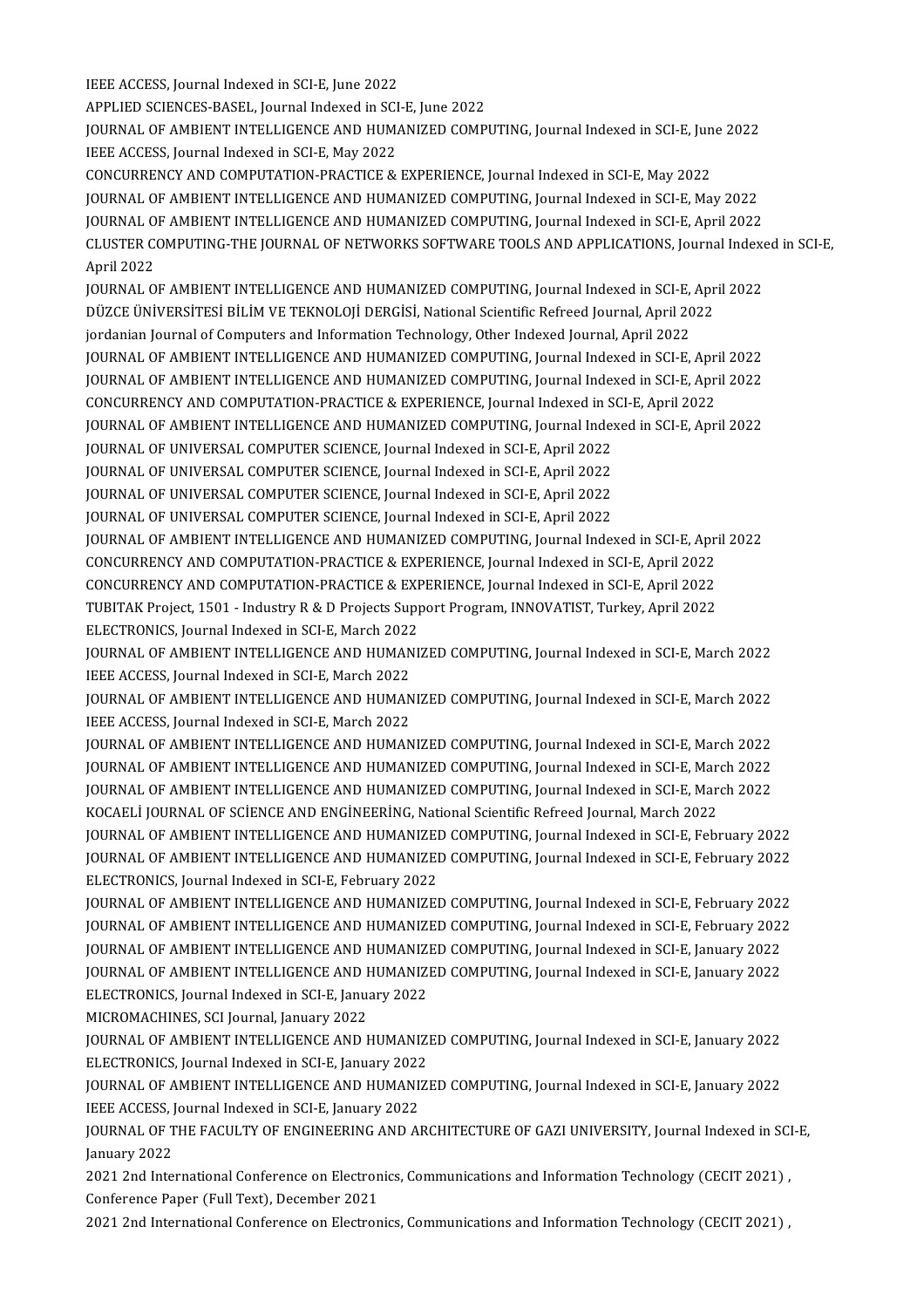IEEE ACCESS, Journal Indexed in SCI-E, June 2022

IEEE ACCESS, Journal Indexed in SCI-E, June 2022<br>APPLIED SCIENCES-BASEL, Journal Indexed in SCI-E, June 2022<br>JOURNAL OF AMPIENT INTELLICENCE AND HUMANIZED COMP

IEEE ACCESS, Journal Indexed in SCI-E, June 2022<br>APPLIED SCIENCES-BASEL, Journal Indexed in SCI-E, June 2022<br>JOURNAL OF AMBIENT INTELLIGENCE AND HUMANIZED COMPUTING, Journal Indexed in SCI-E, June 2022<br>JEEE ACCESS, Journal APPLIED SCIENCES-BASEL, Journal Indexed in SCI<br>JOURNAL OF AMBIENT INTELLIGENCE AND HUM.<br>IEEE ACCESS, Journal Indexed in SCI-E, May 2022<br>CONCURRENCY AND COMBUTATION BRACTICE & JOURNAL OF AMBIENT INTELLIGENCE AND HUMANIZED COMPUTING, Journal Indexed in SCI-E, Jun<br>IEEE ACCESS, Journal Indexed in SCI-E, May 2022<br>CONCURRENCY AND COMPUTATION-PRACTICE & EXPERIENCE, Journal Indexed in SCI-E, May 2022<br>J

IEEE ACCESS, Journal Indexed in SCI-E, May 2022<br>CONCURRENCY AND COMPUTATION-PRACTICE & EXPERIENCE, Journal Indexed in SCI-E, May 2022<br>JOURNAL OF AMBIENT INTELLIGENCE AND HUMANIZED COMPUTING, Journal Indexed in SCI-E, May 2 CONCURRENCY AND COMPUTATION-PRACTICE & EXPERIENCE, Journal Indexed in SCI-E, May 2022<br>JOURNAL OF AMBIENT INTELLIGENCE AND HUMANIZED COMPUTING, Journal Indexed in SCI-E, May 2022<br>JOURNAL OF AMBIENT INTELLIGENCE AND HUMANIZE CLUSTER COMPUTING-THE JOURNAL OF NETWORKS SOFTWARE TOOLS AND APPLICATIONS, Journal Indexed in SCI-E,<br>April 2022 JOURNAL O<br>CLUSTER CO<br>April 2022<br>JOUPNAL O CLUSTER COMPUTING-THE JOURNAL OF NETWORKS SOFTWARE TOOLS AND APPLICATIONS, Journal Indexe<br>April 2022<br>JOURNAL OF AMBIENT INTELLIGENCE AND HUMANIZED COMPUTING, Journal Indexed in SCI-E, April 2022<br>DÜZCE ÜNIVERSITESI PILIM VE

April 2022<br>JOURNAL OF AMBIENT INTELLIGENCE AND HUMANIZED COMPUTING, Journal Indexed in SCI-E, Apr<br>DÜZCE ÜNİVERSİTESİ BİLİM VE TEKNOLOJİ DERGİSİ, National Scientific Refreed Journal, April 2022<br>iordanian Journal of Computer JOURNAL OF AMBIENT INTELLIGENCE AND HUMANIZED COMPUTING, Journal Indexed in SCI-E,<br>DÜZCE ÜNİVERSİTESİ BİLİM VE TEKNOLOJİ DERGİSİ, National Scientific Refreed Journal, April 20<br>Jordanian Journal of Computers and Information DÜZCE ÜNİVERSİTESİ BİLİM VE TEKNOLOJİ DERGİSİ, National Scientific Refreed Journal, April 2022<br>jordanian Journal of Computers and Information Technology, Other Indexed Journal, April 2022<br>JOURNAL OF AMBIENT INTELLIGENCE AN jordanian Journal of Computers and Information Technology, Other Indexed Journal, April 2022<br>JOURNAL OF AMBIENT INTELLIGENCE AND HUMANIZED COMPUTING, Journal Indexed in SCI-E, April 2022<br>JOURNAL OF AMBIENT INTELLIGENCE AND

JOURNAL OF AMBIENT INTELLIGENCE AND HUMANIZED COMPUTING, Journal Indexed in SCI-E, April<br>JOURNAL OF AMBIENT INTELLIGENCE AND HUMANIZED COMPUTING, Journal Indexed in SCI-E, April<br>CONCURRENCY AND COMPUTATION-PRACTICE & EXPER

JOURNAL OF AMBIENT INTELLIGENCE AND HUMANIZED COMPUTING, Journal Indexed in SCI-E, April 2022<br>CONCURRENCY AND COMPUTATION-PRACTICE & EXPERIENCE, Journal Indexed in SCI-E, April 2022<br>JOURNAL OF AMBIENT INTELLIGENCE AND HUMA CONCURRENCY AND COMPUTATION-PRACTICE & EXPERIENCE, Journal Indexed in SCI-E, April 2022<br>JOURNAL OF AMBIENT INTELLIGENCE AND HUMANIZED COMPUTING, Journal Indexed in SCI-E, April 2022<br>JOURNAL OF UNIVERSAL COMPUTER SCIENCE, J

JOURNAL OF AMBIENT INTELLIGENCE AND HUMANIZED COMPUTING, Journal Index<br>JOURNAL OF UNIVERSAL COMPUTER SCIENCE, Journal Indexed in SCI-E, April 2022<br>JOURNAL OF UNIVERSAL COMPUTER SCIENCE, Journal Indexed in SCI-E, April 2022

JOURNAL OF UNIVERSAL COMPUTER SCIENCE, Journal Indexed in SCI-E, April 2022<br>JOURNAL OF UNIVERSAL COMPUTER SCIENCE, Journal Indexed in SCI-E, April 2022<br>JOURNAL OF UNIVERSAL COMPUTER SCIENCE, Journal Indexed in SCI-E, April JOURNAL OF UNIVERSAL COMPUTER SCIENCE, Journal Indexed in SCI-E, April 2022<br>JOURNAL OF UNIVERSAL COMPUTER SCIENCE, Journal Indexed in SCI-E, April 2022

JOURNAL OF UNIVERSAL COMPUTER SCIENCE, Journal Indexed in SCI-E, April 2022<br>JOURNAL OF UNIVERSAL COMPUTER SCIENCE, Journal Indexed in SCI-E, April 2022<br>JOURNAL OF AMBIENT INTELLIGENCE AND HUMANIZED COMPUTING, Journal Index JOURNAL OF UNIVERSAL COMPUTER SCIENCE, Journal Indexed in SCI-E, April 2022<br>JOURNAL OF AMBIENT INTELLIGENCE AND HUMANIZED COMPUTING, Journal Indexed in SCI-E, April<br>CONCURRENCY AND COMPUTATION PRACTICE & EXPERIENCE, Journa JOURNAL OF AMBIENT INTELLIGENCE AND HUMANIZED COMPUTING, Journal Indexed in SCI-E, April<br>CONCURRENCY AND COMPUTATION-PRACTICE & EXPERIENCE, Journal Indexed in SCI-E, April 2022<br>CONCURRENCY AND COMPUTATION-PRACTICE & EXPERI CONCURRENCY AND COMPUTATION-PRACTICE & EXPERIENCE, Journal Indexed in SCI-E, April 2022<br>CONCURRENCY AND COMPUTATION-PRACTICE & EXPERIENCE, Journal Indexed in SCI-E, April 2022<br>TUBITAK Project, 1501 - Industry R & D Project CONCURRENCY AND COMPUTATION-PRACTICE & EXE<br>TUBITAK Project, 1501 - Industry R & D Projects Supp<br>ELECTRONICS, Journal Indexed in SCI-E, March 2022<br>JOURNAL OF AMPIENT INTELLICENCE AND HUMANIS TUBITAK Project, 1501 - Industry R & D Projects Support Program, INNOVATIST, Turkey, April 2022<br>ELECTRONICS, Journal Indexed in SCI-E, March 2022<br>JOURNAL OF AMBIENT INTELLIGENCE AND HUMANIZED COMPUTING, Journal Indexed in

ELECTRONICS, Journal Indexed in SCI-E, March 2022<br>JOURNAL OF AMBIENT INTELLIGENCE AND HUMAN<br>IEEE ACCESS, Journal Indexed in SCI-E, March 2022<br>JOURNAL OF AMBIENT INTELLICENCE AND HUMAN JOURNAL OF AMBIENT INTELLIGENCE AND HUMANIZED COMPUTING, Journal Indexed in SCI-E, March 2022<br>IEEE ACCESS, Journal Indexed in SCI-E, March 2022<br>JOURNAL OF AMBIENT INTELLIGENCE AND HUMANIZED COMPUTING, Journal Indexed in SC

IEEE ACCESS, Journal Indexed in SCI-E, March 2022<br>JOURNAL OF AMBIENT INTELLIGENCE AND HUMANIZED COMPUTING, Journal Indexed in SCI-E, March 2022<br>IEEE ACCESS, Journal Indexed in SCI-E, March 2022 JOURNAL OF AMBIENT INTELLIGENCE AND HUMANIZED COMPUTING, Journal Indexed in SCI-E, March 2022<br>IEEE ACCESS, Journal Indexed in SCI-E, March 2022<br>JOURNAL OF AMBIENT INTELLIGENCE AND HUMANIZED COMPUTING, Journal Indexed in SC

IEEE ACCESS, Journal Indexed in SCI-E, March 2022<br>JOURNAL OF AMBIENT INTELLIGENCE AND HUMANIZED COMPUTING, Journal Indexed in SCI-E, March 2022<br>JOURNAL OF AMBIENT INTELLIGENCE AND HUMANIZED COMPUTING, Journal Indexed in SC JOURNAL OF AMBIENT INTELLIGENCE AND HUMANIZED COMPUTING, Journal Indexed in SCI-E, March 2022<br>JOURNAL OF AMBIENT INTELLIGENCE AND HUMANIZED COMPUTING, Journal Indexed in SCI-E, March 2022<br>JOURNAL OF AMBIENT INTELLIGENCE AN JOURNAL OF AMBIENT INTELLIGENCE AND HUMANIZED COMPUTING, Journal Indexed in SCI-E, Marq<br>JOURNAL OF AMBIENT INTELLIGENCE AND HUMANIZED COMPUTING, Journal Indexed in SCI-E, Marq<br>KOCAELİ JOURNAL OF SCİENCE AND ENGİNEERİNG, Na JOURNAL OF AMBIENT INTELLIGENCE AND HUMANIZED COMPUTING, Journal Indexed in SCI-E, March 2022<br>KOCAELI JOURNAL OF SCIENCE AND ENGINEERING, National Scientific Refreed Journal, March 2022<br>JOURNAL OF AMBIENT INTELLIGENCE AND

KOCAELİ JOURNAL OF SCİENCE AND ENGİNEERİNG, National Scientific Refreed Journal, March 2022<br>JOURNAL OF AMBIENT INTELLIGENCE AND HUMANIZED COMPUTING, Journal Indexed in SCI-E, February 2022<br>JOURNAL OF AMBIENT INTELLIGENCE A FOURNAL OF AMBIENT INTELLIGENCE AND HUMANIZEI<br>FOURNAL OF AMBIENT INTELLIGENCE AND HUMANIZEI<br>ELECTRONICS, Journal Indexed in SCI-E, February 2022<br>JOURNAL OF AMBIENT INTELLICENCE AND HUMANIZEI JOURNAL OF AMBIENT INTELLIGENCE AND HUMANIZED COMPUTING, Journal Indexed in SCI-E, February 2022<br>ELECTRONICS, Journal Indexed in SCI-E, February 2022<br>JOURNAL OF AMBIENT INTELLIGENCE AND HUMANIZED COMPUTING, Journal Indexed

ELECTRONICS, Journal Indexed in SCI-E, February 2022<br>JOURNAL OF AMBIENT INTELLIGENCE AND HUMANIZED COMPUTING, Journal Indexed in SCI-E, February 2022<br>JOURNAL OF AMBIENT INTELLIGENCE AND HUMANIZED COMPUTING, Journal Indexed JOURNAL OF AMBIENT INTELLIGENCE AND HUMANIZED COMPUTING, Journal Indexed in SCI-E, February 2022<br>JOURNAL OF AMBIENT INTELLIGENCE AND HUMANIZED COMPUTING, Journal Indexed in SCI-E, February 2022<br>JOURNAL OF AMBIENT INTELLIGE JOURNAL OF AMBIENT INTELLIGENCE AND HUMANIZED COMPUTING, Journal Indexed in SCI-E, February 2022<br>JOURNAL OF AMBIENT INTELLIGENCE AND HUMANIZED COMPUTING, Journal Indexed in SCI-E, January 2022<br>JOURNAL OF AMBIENT INTELLIGEN FOURNAL OF AMBIENT INTELLIGENCE AND HUMANIZI<br>JOURNAL OF AMBIENT INTELLIGENCE AND HUMANIZI<br>ELECTRONICS, Journal Indexed in SCI-E, January 2022<br>MICROMACHINES, SCI Journal January 2022 JOURNAL OF AMBIENT INTELLIGENCE AND F<br>ELECTRONICS, Journal Indexed in SCI-E, January<br>MICROMACHINES, SCI Journal, January 2022<br>JOURNAL OF AMBIENT INTELLICENCE AND L

ELECTRONICS, Journal Indexed in SCI-E, January 2022<br>MICROMACHINES, SCI Journal, January 2022<br>JOURNAL OF AMBIENT INTELLIGENCE AND HUMANIZED COMPUTING, Journal Indexed in SCI-E, January 2022<br>ELECTRONICS, Journal Indoved in S MICROMACHINES, SCI Journal, January 2022<br>JOURNAL OF AMBIENT INTELLIGENCE AND HUMANIZI<br>ELECTRONICS, Journal Indexed in SCI-E, January 2022<br>JOURNAL OF AMPIENT INTELLICENCE AND HUMANIZI JOURNAL OF AMBIENT INTELLIGENCE AND HUMANIZED COMPUTING, Journal Indexed in SCI-E, January 2022<br>ELECTRONICS, Journal Indexed in SCI-E, January 2022<br>JOURNAL OF AMBIENT INTELLIGENCE AND HUMANIZED COMPUTING, Journal Indexed i

ELECTRONICS, Journal Indexed in SCI-E, January 2022<br>JOURNAL OF AMBIENT INTELLIGENCE AND HUMANIZED COMPUTING, Journal Indexed in SCI-E, January 2022<br>IEEE ACCESS, Journal Indexed in SCI-E, January 2022 JOURNAL OF AMBIENT INTELLIGENCE AND HUMANIZED COMPUTING, Journal Indexed in SCI-E, January 2022<br>IEEE ACCESS, Journal Indexed in SCI-E, January 2022<br>JOURNAL OF THE FACULTY OF ENGINEERING AND ARCHITECTURE OF GAZI UNIVERSITY,

IEEE ACCESS, J<br>JOURNAL OF T<br>January 2022<br>2021 2nd Inte JOURNAL OF THE FACULTY OF ENGINEERING AND ARCHITECTURE OF GAZI UNIVERSITY, Journal Indexed in SCI<br>January 2022<br>2021 2nd International Conference on Electronics, Communications and Information Technology (CECIT 2021) ,<br>Conf

January 2022<br>2021 2nd International Conference on Electronics, Communications and Information Technology (CECIT 2021) ,<br>Conference Paper (Full Text), December 2021

2021 2nd International Conference on Electronics, Communications and Information Technology (CECIT 2021) ,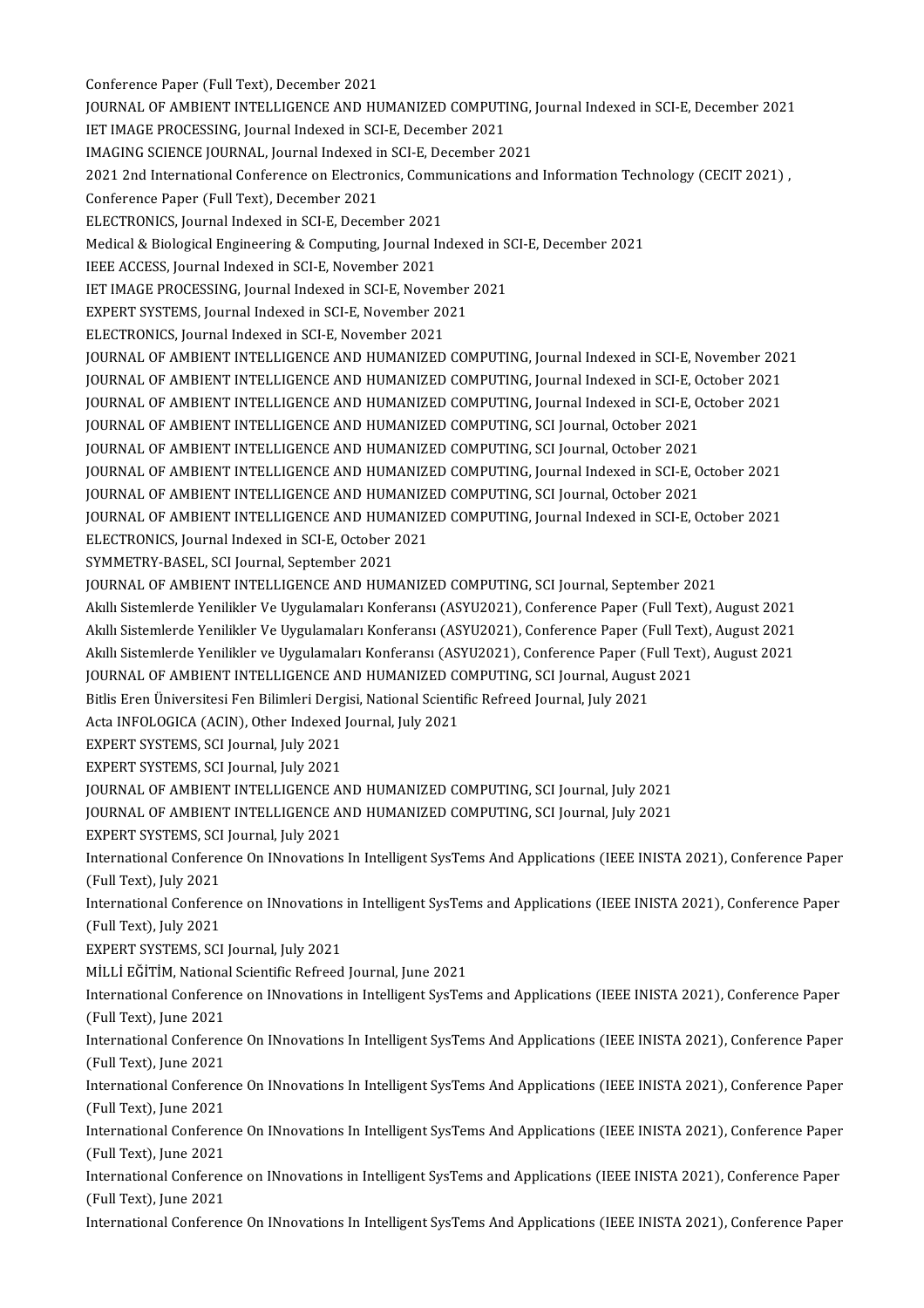Conference Paper (Full Text), December 2021 Conference Paper (Full Text), December 2021<br>JOURNAL OF AMBIENT INTELLIGENCE AND HUMANIZED COMPUTING, Journal Indexed in SCI-E, December 2021<br>JET IMACE PROCESSING, Journal Indoved in SCLE, Desember 2021 Conference Paper (Full Text), December 2021<br>JOURNAL OF AMBIENT INTELLIGENCE AND HUMANIZED COMPUTI<br>IET IMAGE PROCESSING, Journal Indexed in SCI-E, December 2021<br>IMAGING SCIENCE JOURNAL Journal Indexed in SCI-E, December 202 JOURNAL OF AMBIENT INTELLIGENCE AND HUMANIZED COMPUTING, J<br>IET IMAGE PROCESSING, Journal Indexed in SCI-E, December 2021<br>IMAGING SCIENCE JOURNAL, Journal Indexed in SCI-E, December 2021<br>2021 2nd International Conforance on IET IMAGE PROCESSING, Journal Indexed in SCI-E, December 2021<br>IMAGING SCIENCE JOURNAL, Journal Indexed in SCI-E, December 2021<br>2021 2nd International Conference on Electronics, Communications and Information Technology (CE IMAGING SCIENCE JOURNAL, Journal Indexed in<br>2021 2nd International Conference on Electron<br>Conference Paper (Full Text), December 2021<br>ELECTRONICS, Journal Indoved in SCLE, Decem 2021 2nd International Conference on Electronics, Comm<br>Conference Paper (Full Text), December 2021<br>ELECTRONICS, Journal Indexed in SCI-E, December 2021<br>Medical & Piological Engineering & Computing Journal In Conference Paper (Full Text), December 2021<br>ELECTRONICS, Journal Indexed in SCI-E, December 2021<br>Medical & Biological Engineering & Computing, Journal Indexed in SCI-E, December 2021<br>IEEE ACCESS, Journal Indexed in SCI-E, ELECTRONICS, Journal Indexed in SCI-E, December 2021 Medical & Biological Engineering & Computing, Journal Indexed in S<br>IEEE ACCESS, Journal Indexed in SCI-E, November 2021<br>IET IMAGE PROCESSING, Journal Indexed in SCI-E, November 2021<br>EXPERT SYSTEMS, Journal Indexed in SCI-E IEEE ACCESS, Journal Indexed in SCI-E, November 2021<br>IET IMAGE PROCESSING, Journal Indexed in SCI-E, November<br>EXPERT SYSTEMS, Journal Indexed in SCI-E, November 2021<br>ELECTPONICS, Journal Indexed in SCLE, November 2021 ET IMAGE PROCESSING, Journal Indexed in SCI-E, Novem<br>EXPERT SYSTEMS, Journal Indexed in SCI-E, November 20<br>ELECTRONICS, Journal Indexed in SCI-E, November 2021<br>JOURNAL OF AMPIENT INTELLICENCE AND HUMANIZED EXPERT SYSTEMS, Journal Indexed in SCI-E, November 2021<br>ELECTRONICS, Journal Indexed in SCI-E, November 2021<br>JOURNAL OF AMBIENT INTELLIGENCE AND HUMANIZED COMPUTING, Journal Indexed in SCI-E, November 2021 ELECTRONICS, Journal Indexed in SCI-E, November 2021<br>JOURNAL OF AMBIENT INTELLIGENCE AND HUMANIZED COMPUTING, Journal Indexed in SCI-E, November 202<br>JOURNAL OF AMBIENT INTELLIGENCE AND HUMANIZED COMPUTING, Journal Indexed JOURNAL OF AMBIENT INTELLIGENCE AND HUMANIZED COMPUTING, Journal Indexed in SCI-E, November 202<br>JOURNAL OF AMBIENT INTELLIGENCE AND HUMANIZED COMPUTING, Journal Indexed in SCI-E, October 2021<br>JOURNAL OF AMBIENT INTELLIGENC JOURNAL OF AMBIENT INTELLIGENCE AND HUMANIZED COMPUTING, Journal Indexed in SCI-E, O<br>JOURNAL OF AMBIENT INTELLIGENCE AND HUMANIZED COMPUTING, Journal Indexed in SCI-E, O<br>JOURNAL OF AMBIENT INTELLIGENCE AND HUMANIZED COMPUT JOURNAL OF AMBIENT INTELLIGENCE AND HUMANIZED COMPUTING, Journal Indexed in SCI-E, October 2021<br>JOURNAL OF AMBIENT INTELLIGENCE AND HUMANIZED COMPUTING, SCI Journal, October 2021<br>JOURNAL OF AMBIENT INTELLIGENCE AND HUMANIZ JOURNAL OF AMBIENT INTELLIGENCE AND HUMANIZED COMPUTING, SCI Journal, October 2021<br>JOURNAL OF AMBIENT INTELLIGENCE AND HUMANIZED COMPUTING, SCI Journal, October 2021<br>JOURNAL OF AMBIENT INTELLIGENCE AND HUMANIZED COMPUTING, JOURNAL OF AMBIENT INTELLIGENCE AND HUMANIZED COMPUTING, SCI Journal, October 2021<br>JOURNAL OF AMBIENT INTELLIGENCE AND HUMANIZED COMPUTING, Journal Indexed in SCI-E, O<br>JOURNAL OF AMBIENT INTELLIGENCE AND HUMANIZED COMPUTIN JOURNAL OF AMBIENT INTELLIGENCE AND HUMANIZED COMPUTING, Journal Indexed in SCI-E, October 2021<br>JOURNAL OF AMBIENT INTELLIGENCE AND HUMANIZED COMPUTING, SCI Journal, October 2021<br>JOURNAL OF AMBIENT INTELLIGENCE AND HUMANIZ FOURNAL OF AMBIENT INTELLIGENCE AND HUMANIZI<br>JOURNAL OF AMBIENT INTELLIGENCE AND HUMANIZI<br>ELECTRONICS, Journal Indexed in SCI-E, October 2021<br>SYMMETPY PASEL, SCI Journal Sontember 2021 **JOURNAL OF AMBIENT INTELLIGENCE AND HUM<br>ELECTRONICS, Journal Indexed in SCI-E, October 2<br>SYMMETRY-BASEL, SCI Journal, September 2021**<br>JOURNAL OF AMBIENT INTELLICENCE AND HUM ELECTRONICS, Journal Indexed in SCI-E, October 2021<br>SYMMETRY-BASEL, SCI Journal, September 2021<br>JOURNAL OF AMBIENT INTELLIGENCE AND HUMANIZED COMPUTING, SCI Journal, September 2021 SYMMETRY-BASEL, SCI Journal, September 2021<br>JOURNAL OF AMBIENT INTELLIGENCE AND HUMANIZED COMPUTING, SCI Journal, September 2021<br>Akıllı Sistemlerde Yenilikler Ve Uygulamaları Konferansı (ASYU2021), Conference Paper (Full T JOURNAL OF AMBIENT INTELLIGENCE AND HUMANIZED COMPUTING, SCI Journal, September 2021<br>Akıllı Sistemlerde Yenilikler Ve Uygulamaları Konferansı (ASYU2021), Conference Paper (Full Text), August 2021<br>Akıllı Sistemlerde Yenilik Akıllı Sistemlerde Yenilikler Ve Uygulamaları Konferansı (ASYU2021), Conference Paper (Full Text), August 2021<br>Akıllı Sistemlerde Yenilikler Ve Uygulamaları Konferansı (ASYU2021), Conference Paper (Full Text), August 2021<br> Akıllı Sistemlerde Yenilikler Ve Uygulamaları Konferansı (ASYU2021), Conference Paper (Full Text), August 2021<br>Akıllı Sistemlerde Yenilikler ve Uygulamaları Konferansı (ASYU2021), Conference Paper (Full Text), August 2021<br> Akıllı Sistemlerde Yenilikler ve Uygulamaları Konferansı (ASYU2021), Conference Paper (Full Text), August 2021 JOURNAL OF AMBIENT INTELLIGENCE AND HUMANIZED CONTRAST UNIVERSITED IN BILIMET Dergisi, National Scienti<br>Acta INFOLOGICA (ACIN), Other Indexed Journal, July 2021<br>EXPERT SYSTEMS, SCI Journal, July 2021 Bitlis Eren Üniversitesi Fen Bilimleri Derg<br>Acta INFOLOGICA (ACIN), Other Indexed<br>EXPERT SYSTEMS, SCI Journal, July 2021<br>EXPERT SYSTEMS, SCI Journal, July 2021 Acta INFOLOGICA (ACIN), Other Indexed<br>EXPERT SYSTEMS, SCI Journal, July 2021<br>EXPERT SYSTEMS, SCI Journal, July 2021<br>JOURNAL OF AMPIENT INTELLICENCE AL EXPERT SYSTEMS, SCI Journal, July 2021<br>EXPERT SYSTEMS, SCI Journal, July 2021<br>JOURNAL OF AMBIENT INTELLIGENCE AND HUMANIZED COMPUTING, SCI Journal, July 2021<br>JOURNAL OF AMBIENT INTELLIGENCE AND HUMANIZED COMPUTING, SCI Jou EXPERT SYSTEMS, SCI Journal, July 2021<br>JOURNAL OF AMBIENT INTELLIGENCE AND HUMANIZED COMPUTING, SCI Journal, July 2021<br>JOURNAL OF AMBIENT INTELLIGENCE AND HUMANIZED COMPUTING, SCI Journal, July 2021<br>EXPERT SYSTEMS, SCI Jou FOURNAL OF AMBIENT INTELLIGENCE AN<br>FOURNAL OF AMBIENT INTELLIGENCE AN<br>EXPERT SYSTEMS, SCI Journal, July 2021<br>International Conference On INnovations JOURNAL OF AMBIENT INTELLIGENCE AND HUMANIZED COMPUTING, SCI Journal, July 2021<br>EXPERT SYSTEMS, SCI Journal, July 2021<br>International Conference On INnovations In Intelligent SysTems And Applications (IEEE INISTA 2021), Con EXPERT SYSTEMS, SCI<br>International Conferer<br>(Full Text), July 2021<br>International Conferer International Conference On INnovations In Intelligent SysTems And Applications (IEEE INISTA 2021), Conference Paper<br>(Full Text), July 2021<br>International Conference on INnovations in Intelligent SysTems and Applications (I (Full Text), July 2021<br>International Conference on INnovations<br>(Full Text), July 2021<br>EXPERT SYSTEMS, SCI Journal, July 2021 International Conference on INnovations in Intelligent SysTems and Applications (IEEE INISTA 2021), Conference Paper MİLLİ EĞİTİM, National Scientific Refreed Journal, June 2021 EXPERT SYSTEMS, SCI Journal, July 2021<br>MİLLİ EĞİTİM, National Scientific Refreed Journal, June 2021<br>International Conference on INnovations in Intelligent SysTems and Applications (IEEE INISTA 2021), Conference Paper<br>(Full MİLLİ EĞİTİM, Nationa<br>International Conferen<br>(Full Text), June 2021<br>International Conferen International Conference on INnovations in Intelligent SysTems and Applications (IEEE INISTA 2021), Conference Paper<br>(Full Text), June 2021<br>International Conference On INnovations In Intelligent SysTems And Applications (I (Full Text), June 2021<br>International Conference On INnovations In Intelligent SysTems And Applications (IEEE INISTA 2021), Conference Paper<br>(Full Text), June 2021 International Conference On INnovations In Intelligent SysTems And Applications (IEEE INISTA 2021), Conference Paper<br>(Full Text), June 2021<br>International Conference On INnovations In Intelligent SysTems And Applications (I (Full Text), June 2021<br>International Conferen<br>(Full Text), June 2021<br>International Conferen International Conference On INnovations In Intelligent SysTems And Applications (IEEE INISTA 2021), Conference Paper<br>(Full Text), June 2021<br>International Conference On INnovations In Intelligent SysTems And Applications (I (Full Text), June 2021<br>International Conferen<br>(Full Text), June 2021<br>International Conferen International Conference On INnovations In Intelligent SysTems And Applications (IEEE INISTA 2021), Conference Paper<br>(Full Text), June 2021<br>International Conference on INnovations in Intelligent SysTems and Applications (I (Full Text), June 2021<br>International Conference on INnovations in Intelligent SysTems and Applications (IEEE INISTA 2021), Conference Paper<br>(Full Text), June 2021 International Conference On INnovations In Intelligent SysTems And Applications (IEEE INISTA 2021), Conference Paper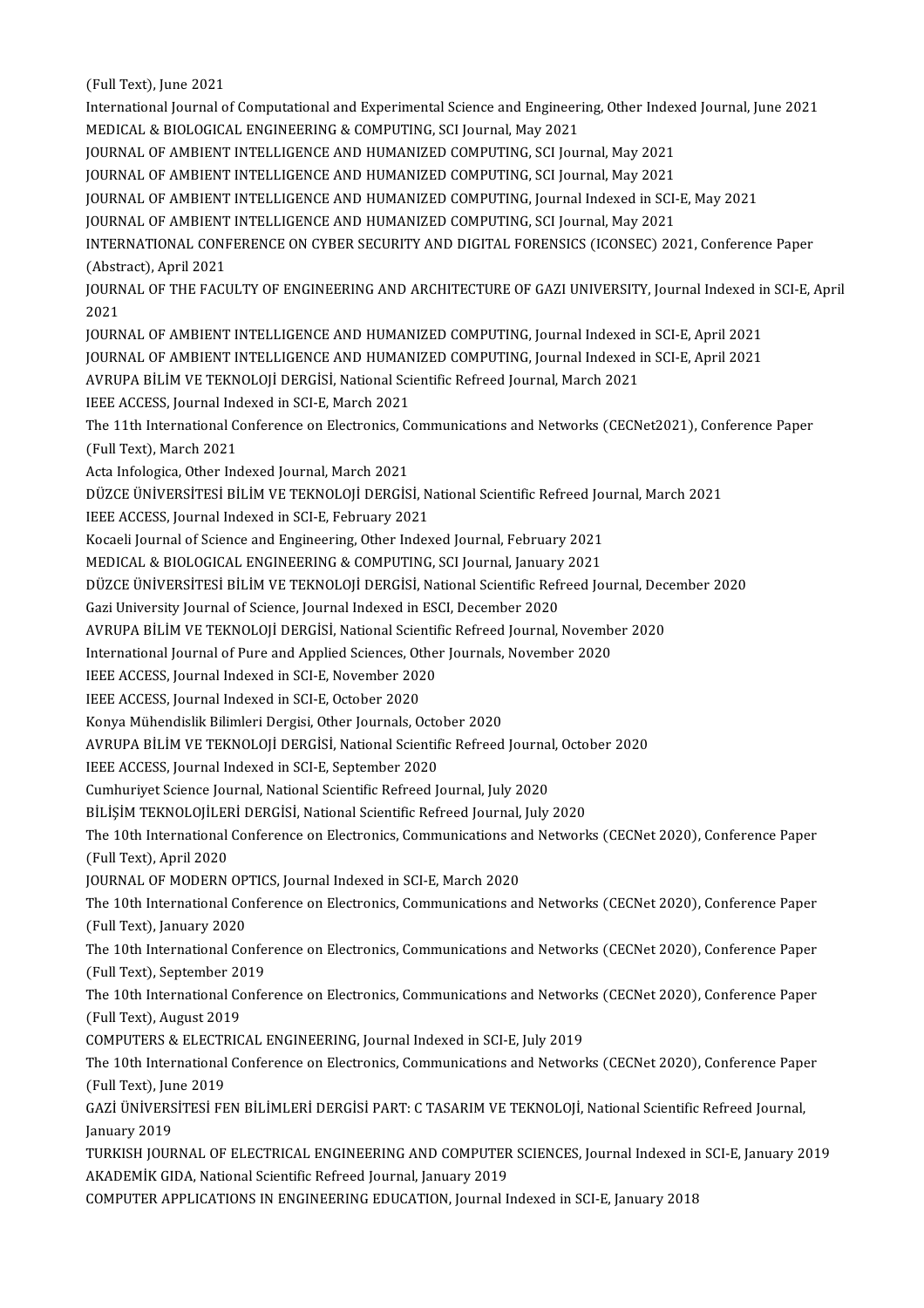(Full Text), June 2021

(Full Text), June 2021<br>International Journal of Computational and Experimental Science and Engineering, Other Indexed Journal, June 2021<br>MEDICAL & RIOLOGICAL ENGINEERING & COMPUTING SCI Journal, May 2021 (Full Text), June 2021<br>International Journal of Computational and Experimental Science and Engineer<br>MEDICAL & BIOLOGICAL ENGINEERING & COMPUTING, SCI Journal, May 2021<br>JOURNAL OF AMPIENT INTELLICENCE AND HUMANIZED COMPUTIN International Journal of Computational and Experimental Science and Engineering, Other Index<br>MEDICAL & BIOLOGICAL ENGINEERING & COMPUTING, SCI Journal, May 2021<br>JOURNAL OF AMBIENT INTELLIGENCE AND HUMANIZED COMPUTING, SCI MEDICAL & BIOLOGICAL ENGINEERING & COMPUTING, SCI Journal, May 2021<br>JOURNAL OF AMBIENT INTELLIGENCE AND HUMANIZED COMPUTING, SCI Journal, May 2021<br>JOURNAL OF AMBIENT INTELLIGENCE AND HUMANIZED COMPUTING, SCI Journal, May 2 JOURNAL OF AMBIENT INTELLIGENCE AND HUMANIZED COMPUTING, SCI Journal, May 2021<br>JOURNAL OF AMBIENT INTELLIGENCE AND HUMANIZED COMPUTING, SCI Journal, May 2021<br>JOURNAL OF AMBIENT INTELLIGENCE AND HUMANIZED COMPUTING, Journal JOURNAL OF AMBIENT INTELLIGENCE AND HUMANIZED COMPUTING, SCI Journal, May 2021<br>JOURNAL OF AMBIENT INTELLIGENCE AND HUMANIZED COMPUTING, Journal Indexed in SCI-<br>JOURNAL OF AMBIENT INTELLIGENCE AND HUMANIZED COMPUTING, SCI J INTERNATIONAL CONFERENCE ON CYBER SECURITY AND DIGITAL FORENSICS (ICONSEC) 2021, Conference Paper<br>(Abstract), April 2021 JOURNAL OF AMBIENT INTELLIGENCE AND HUMANIZED COMPUTING, SCI Journal, May 2021 INTERNATIONAL CONFERENCE ON CYBER SECURITY AND DIGITAL FORENSICS (ICONSEC) 2021, Conference Paper<br>(Abstract), April 2021<br>JOURNAL OF THE FACULTY OF ENGINEERING AND ARCHITECTURE OF GAZI UNIVERSITY, Journal Indexed in SCI-E, (Abstr<br>JOURN<br>2021<br>JOURN JOURNAL OF THE FACULTY OF ENGINEERING AND ARCHITECTURE OF GAZI UNIVERSITY, Journal Indexed in<br>2021<br>JOURNAL OF AMBIENT INTELLIGENCE AND HUMANIZED COMPUTING, Journal Indexed in SCI-E, April 2021<br>JOURNAL OF AMBIENT INTELLIGEN 2021<br>JOURNAL OF AMBIENT INTELLIGENCE AND HUMANIZED COMPUTING, Journal Indexed in SCI-E, April 2021<br>JOURNAL OF AMBIENT INTELLIGENCE AND HUMANIZED COMPUTING, Journal Indexed in SCI-E, April 2021 JOURNAL OF AMBIENT INTELLIGENCE AND HUMANIZED COMPUTING, Journal Indexed i<br>JOURNAL OF AMBIENT INTELLIGENCE AND HUMANIZED COMPUTING, Journal Indexed i<br>AVRUPA BİLİM VE TEKNOLOJİ DERGİSİ, National Scientific Refreed Journal, JOURNAL OF AMBIENT INTELLIGENCE AND HUMAN<br>AVRUPA BİLİM VE TEKNOLOJİ DERGİSİ, National Sci<br>IEEE ACCESS, Journal Indexed in SCI-E, March 2021<br>The 11th International Conforence on Electronics *Co* AVRUPA BİLİM VE TEKNOLOJİ DERGİSİ, National Scientific Refreed Journal, March 2021<br>IEEE ACCESS, Journal Indexed in SCI-E, March 2021<br>The 11th International Conference on Electronics, Communications and Networks (CECNet2021 IEEE ACCESS, Journal Indexed in SCI-E, March 2021<br>The 11th International Conference on Electronics, C<br>(Full Text), March 2021<br>Acta Infologica, Other Indexed Journal, March 2021 The 11th International Conference on Electronics, Co.<br>(Full Text), March 2021<br>Acta Infologica, Other Indexed Journal, March 2021<br>DÜZCE ÜNIVEDSİTESİ BİLİM VE TEKNOLOU DERÇİS (Full Text), March 2021<br>Acta Infologica, Other Indexed Journal, March 2021<br>DÜZCE ÜNİVERSİTESİ BİLİM VE TEKNOLOJİ DERGİSİ, National Scientific Refreed Journal, March 2021<br>JEEE ACCESS, Journal Indaved in SCLE, February 2021 IEEE ACCESS, Journal Indexed in SCI-E, February 2021 DÜZCE ÜNİVERSİTESİ BİLİM VE TEKNOLOJİ DERGİSİ, National Scientific Refreed Journal<br>IEEE ACCESS, Journal Indexed in SCI-E, February 2021<br>Kocaeli Journal of Science and Engineering, Other Indexed Journal, February 2021<br>MEDIC Kocaeli Journal of Science and Engineering, Other Indexed Journal, February 2021<br>MEDICAL & BIOLOGICAL ENGINEERING & COMPUTING, SCI Journal, January 2021 Kocaeli Journal of Science and Engineering, Other Indexed Journal, February 2021<br>MEDICAL & BIOLOGICAL ENGINEERING & COMPUTING, SCI Journal, January 2021<br>DÜZCE ÜNİVERSİTESİ BİLİM VE TEKNOLOJİ DERGİSİ, National Scientific Re MEDICAL & BIOLOGICAL ENGINEERING & COMPUTING, SCI Journal, January<br>DÜZCE ÜNİVERSİTESİ BİLİM VE TEKNOLOJİ DERGİSİ, National Scientific Refi<br>Gazi University Journal of Science, Journal Indexed in ESCI, December 2020<br>AVPURA R DÜZCE ÜNİVERSİTESİ BİLİM VE TEKNOLOJİ DERGİSİ, National Scientific Refreed Journal, Dec<br>Gazi University Journal of Science, Journal Indexed in ESCI, December 2020<br>AVRUPA BİLİM VE TEKNOLOJİ DERGİSİ, National Scientific Refr Gazi University Journal of Science, Journal Indexed in ESCI, December 2020<br>AVRUPA BİLİM VE TEKNOLOJİ DERGİSİ, National Scientific Refreed Journal, November<br>International Journal of Pure and Applied Sciences, Other Journals AVRUPA BİLİM VE TEKNOLOJİ DERGİSİ, National Scientif<br>International Journal of Pure and Applied Sciences, Other<br>IEEE ACCESS, Journal Indexed in SCI-E, November 2020<br>IEEE ACCESS, Journal Indexed in SCI-E, October 2020 International Journal of Pure and Applied Sciences, Other Journals, November 2020<br>IEEE ACCESS, Journal Indexed in SCI-E, November 2020<br>IEEE ACCESS, Journal Indexed in SCI-E, October 2020 IEEE ACCESS, Journal Indexed in SCI-E, November 2020<br>IEEE ACCESS, Journal Indexed in SCI-E, October 2020<br>Konya Mühendislik Bilimleri Dergisi, Other Journals, October 2020<br>AVPURA RU IM VE TEKNOLOU DERGISI, National Scientif AVRUPA BİLİM VE TEKNOLOJİ DERGİSİ, National Scientific Refreed Journal, October 2020<br>IEEE ACCESS, Journal Indexed in SCI-E, September 2020 Konya Mühendislik Bilimleri Dergisi, Other Journals, Octo<br>AVRUPA BİLİM VE TEKNOLOJİ DERGİSİ, National Scientif<br>IEEE ACCESS, Journal Indexed in SCI-E, September 2020<br>Cumburiyat Science Journal National Scientific Refreed J Cumhuriyet Science Journal, National Scientific Refreed Journal, July 2020 IEEE ACCESS, Journal Indexed in SCI-E, September 2020<br>Cumhuriyet Science Journal, National Scientific Refreed Journal, July 2020<br>BİLİŞİM TEKNOLOJİLERİ DERGİSİ, National Scientific Refreed Journal, July 2020<br>The 19th Intern Cumhuriyet Science Journal, National Scientific Refreed Journal, July 2020<br>BİLİŞİM TEKNOLOJİLERİ DERGİSİ, National Scientific Refreed Journal, July 2020<br>The 10th International Conference on Electronics, Communications and BİLİŞİM TEKNOLOJİLEF<br>The 10th International<br>(Full Text), April 2020<br>IQUPNAL OE MODEPN The 10th International Conference on Electronics, Communications an<br>(Full Text), April 2020<br>JOURNAL OF MODERN OPTICS, Journal Indexed in SCI-E, March 2020<br>The 10th International Conference on Electronics Communications an (Full Text), April 2020<br>JOURNAL OF MODERN OPTICS, Journal Indexed in SCI-E, March 2020<br>The 10th International Conference on Electronics, Communications and Networks (CECNet 2020), Conference Paper<br>(Full Toyt), January 2020 JOURNAL OF MODERN OPTICS, Journal Indexed in SCI-E, March 2020<br>The 10th International Conference on Electronics, Communications an<br>(Full Text), January 2020 The 10th International Conference on Electronics, Communications and Networks (CECNet 2020), Conference Paper<br>(Full Text), January 2020<br>The 10th International Conference on Electronics, Communications and Networks (CECNet The 10th International Conference on Electronics, Communications and Networks (CECNet 2020), Conference Paper<br>(Full Text), September 2019 The 10th International Conference on Electronics, Communications and Networks (CECNet 2020), Conference Paper<br>(Full Text), September 2019<br>The 10th International Conference on Electronics, Communications and Networks (CECNe (Full Text), September 20<br>The 10th International Co<br>(Full Text), August 2019<br>COMBUTEDS & ELECTPIC The 10th International Conference on Electronics, Communications and Networl<br>(Full Text), August 2019<br>COMPUTERS & ELECTRICAL ENGINEERING, Journal Indexed in SCI-E, July 2019<br>The 10th International Conference on Electronics (Full Text), August 2019<br>COMPUTERS & ELECTRICAL ENGINEERING, Journal Indexed in SCI-E, July 2019<br>The 10th International Conference on Electronics, Communications and Networks (CECNet 2020), Conference Paper<br>(Full Toyt), Ju COMPUTERS & ELECTRICAL ENGINEERING, Journal Indexed in SCI-E, July 2019<br>The 10th International Conference on Electronics, Communications and Networ<br>(Full Text), June 2019 The 10th International Conference on Electronics, Communications and Networks (CECNet 2020), Conference Pape<br>(Full Text), June 2019<br>GAZİ ÜNİVERSİTESİ FEN BİLİMLERİ DERGİSİ PART: C TASARIM VE TEKNOLOJİ, National Scientific GAZİ ÜNİVERSİTESİ FEN BİLİMLERİ DERGİSİ PART: C TASARIM VE TEKNOLOJİ, National Scientific Refreed Journal,<br>January 2019 GAZİ ÜNİVERSİTESİ FEN BİLİMLERİ DERGİSİ PART: C TASARIM VE TEKNOLOJİ, National Scientific Refreed Journal,<br>January 2019<br>TURKISH JOURNAL OF ELECTRICAL ENGINEERING AND COMPUTER SCIENCES, Journal Indexed in SCI-E, January 201 January 2019<br>TURKISH JOURNAL OF ELECTRICAL ENGINEERING AND COMPUTER<br>AKADEMİK GIDA, National Scientific Refreed Journal, January 2019<br>COMPUTER APRLICATIONS IN ENGINEERING EDUCATION, Jayımal I TURKISH JOURNAL OF ELECTRICAL ENGINEERING AND COMPUTER SCIENCES, Journal Indexed in<br>AKADEMİK GIDA, National Scientific Refreed Journal, January 2019<br>COMPUTER APPLICATIONS IN ENGINEERING EDUCATION, Journal Indexed in SCI-E,